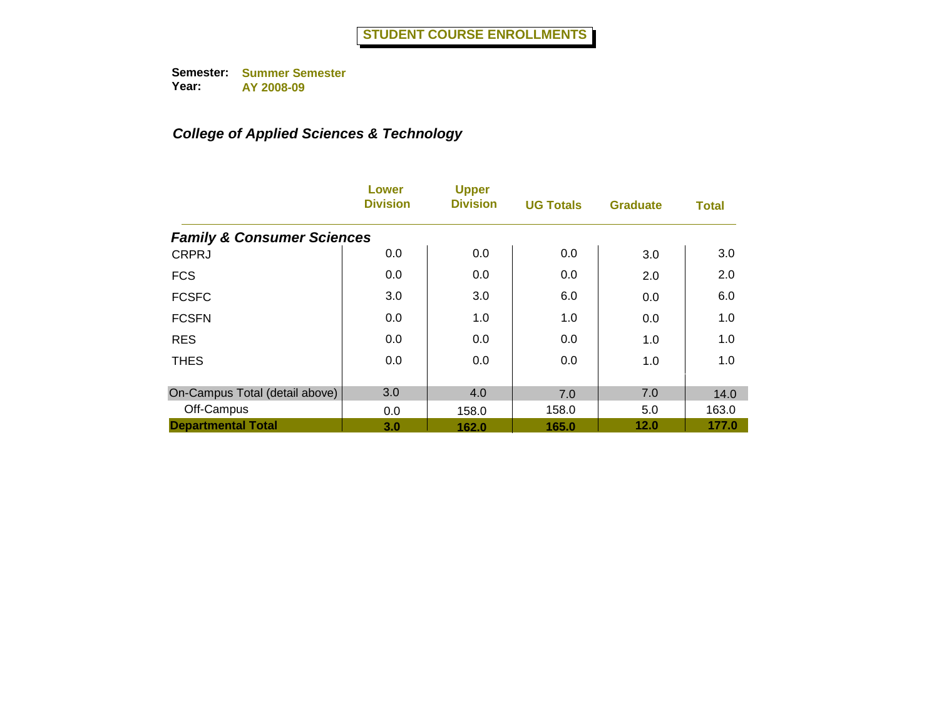|                                       | Lower<br><b>Division</b> | <b>Upper</b><br><b>Division</b> | <b>UG Totals</b> | <b>Graduate</b> | <b>Total</b> |
|---------------------------------------|--------------------------|---------------------------------|------------------|-----------------|--------------|
| <b>Family &amp; Consumer Sciences</b> |                          |                                 |                  |                 |              |
| <b>CRPRJ</b>                          | 0.0                      | 0.0                             | 0.0              | 3.0             | 3.0          |
| <b>FCS</b>                            | 0.0                      | 0.0                             | 0.0              | 2.0             | 2.0          |
| <b>FCSFC</b>                          | 3.0                      | 3.0                             | 6.0              | 0.0             | 6.0          |
| <b>FCSFN</b>                          | 0.0                      | 1.0                             | 1.0              | 0.0             | 1.0          |
| <b>RES</b>                            | 0.0                      | 0.0                             | 0.0              | 1.0             | 1.0          |
| <b>THES</b>                           | 0.0                      | 0.0                             | 0.0              | 1.0             | 1.0          |
| On-Campus Total (detail above)        | 3.0                      | 4.0                             | 7.0              | 7.0             | 14.0         |
| Off-Campus                            | 0.0                      | 158.0                           | 158.0            | 5.0             | 163.0        |
| <b>Departmental Total</b>             | 3.0                      | 162.0                           | 165.0            | 12.0            | 177.0        |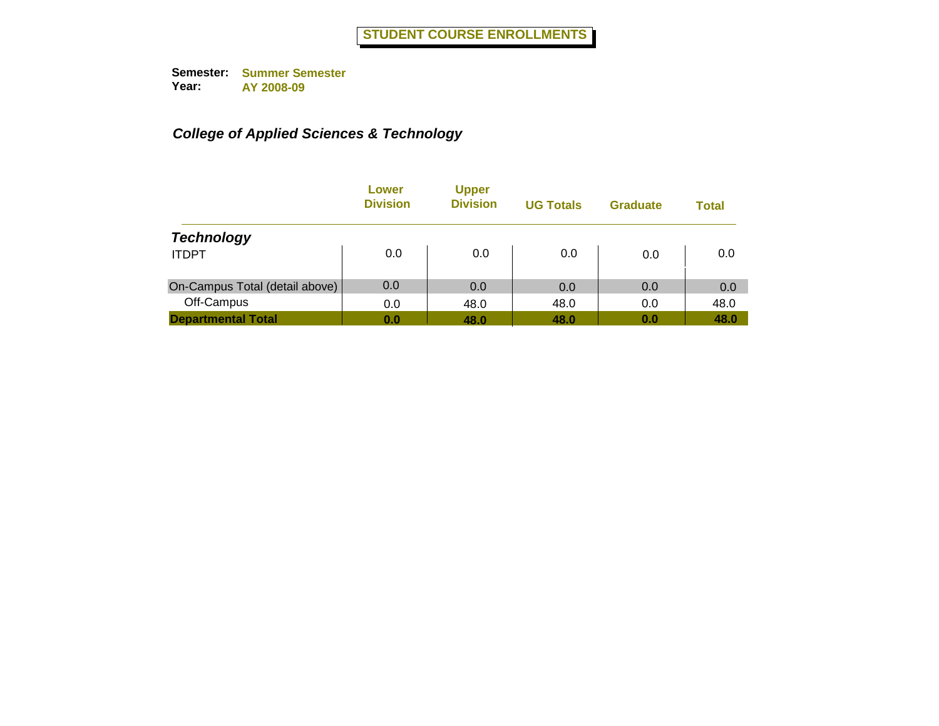|                                | Lower<br><b>Division</b> | <b>Upper</b><br><b>Division</b> | <b>UG Totals</b> | <b>Graduate</b> | <b>Total</b> |
|--------------------------------|--------------------------|---------------------------------|------------------|-----------------|--------------|
| <b>Technology</b>              |                          |                                 |                  |                 |              |
| <b>ITDPT</b>                   | 0.0                      | 0.0                             | 0.0              | 0.0             | 0.0          |
| On-Campus Total (detail above) | 0.0                      | 0.0                             | 0.0              | 0.0             | 0.0          |
| Off-Campus                     | 0.0                      | 48.0                            | 48.0             | 0.0             | 48.0         |
| <b>Departmental Total</b>      | 0.0                      | 48.0                            | 48.0             | 0.0             | 48.0         |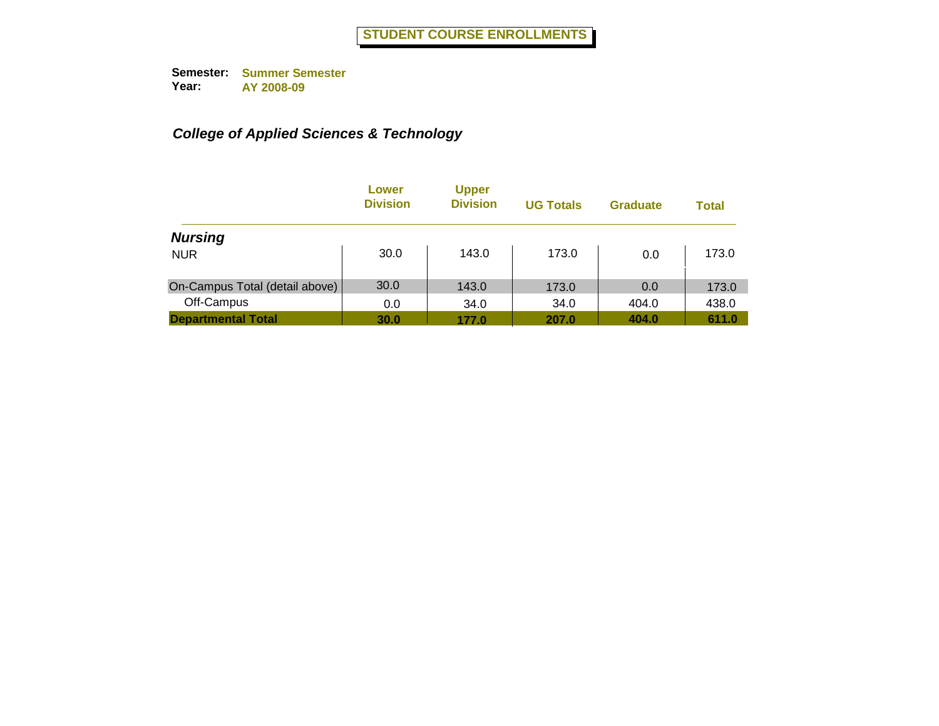|                                | Lower<br><b>Division</b> | <b>Upper</b><br><b>Division</b> | <b>UG Totals</b> | <b>Graduate</b> | <b>Total</b> |
|--------------------------------|--------------------------|---------------------------------|------------------|-----------------|--------------|
| <b>Nursing</b>                 |                          |                                 |                  |                 |              |
| <b>NUR</b>                     | 30.0                     | 143.0                           | 173.0            | 0.0             | 173.0        |
| On-Campus Total (detail above) | 30.0                     | 143.0                           | 173.0            | 0.0             | 173.0        |
| Off-Campus                     | 0.0                      | 34.0                            | 34.0             | 404.0           | 438.0        |
| <b>Departmental Total</b>      | 30.0                     | 177.0                           | 207.0            | 404.0           | 611.0        |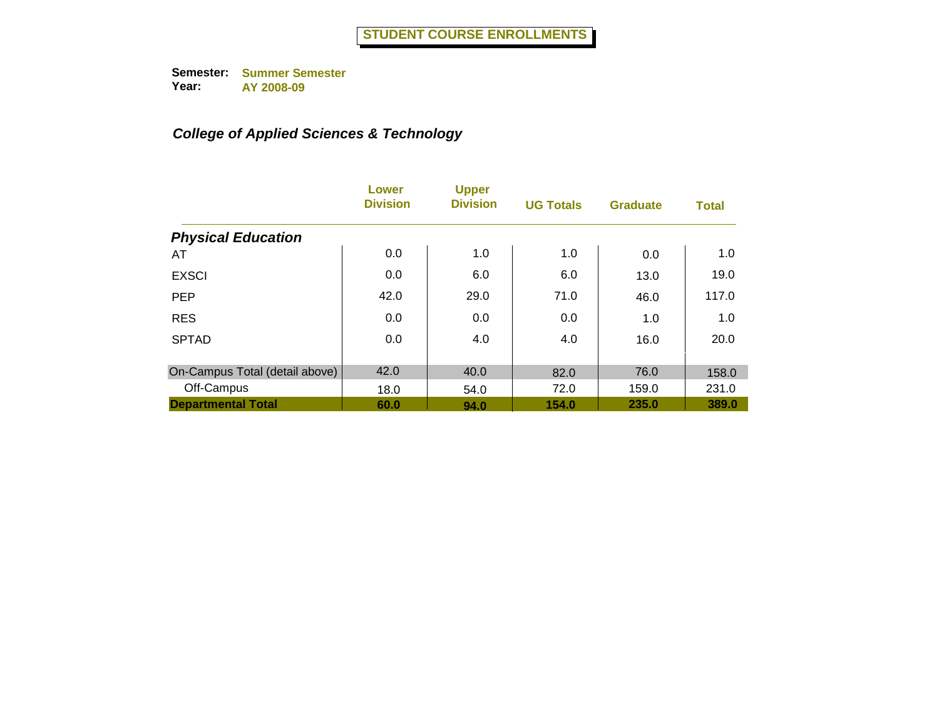|                                | Lower<br><b>Division</b> | <b>Upper</b><br><b>Division</b> | <b>UG Totals</b> | <b>Graduate</b> | <b>Total</b> |
|--------------------------------|--------------------------|---------------------------------|------------------|-----------------|--------------|
| <b>Physical Education</b>      |                          |                                 |                  |                 |              |
| AT                             | 0.0                      | 1.0                             | 1.0              | 0.0             | 1.0          |
| <b>EXSCI</b>                   | 0.0                      | 6.0                             | 6.0              | 13.0            | 19.0         |
| <b>PEP</b>                     | 42.0                     | 29.0                            | 71.0             | 46.0            | 117.0        |
| <b>RES</b>                     | 0.0                      | 0.0                             | 0.0              | 1.0             | 1.0          |
| <b>SPTAD</b>                   | 0.0                      | 4.0                             | 4.0              | 16.0            | 20.0         |
| On-Campus Total (detail above) | 42.0                     | 40.0                            | 82.0             | 76.0            | 158.0        |
| Off-Campus                     | 18.0                     | 54.0                            | 72.0             | 159.0           | 231.0        |
| <b>Departmental Total</b>      | 60.0                     | 94.0                            | 154.0            | 235.0           | 389.0        |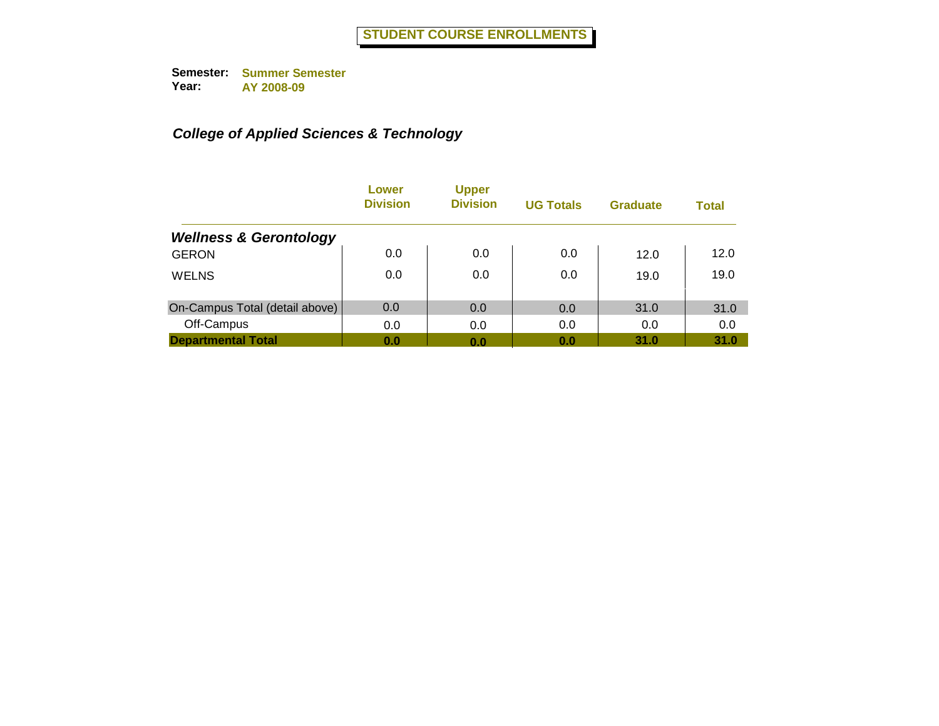|                                   | Lower<br><b>Division</b> | <b>Upper</b><br><b>Division</b> | <b>UG Totals</b> | <b>Graduate</b> | <b>Total</b> |
|-----------------------------------|--------------------------|---------------------------------|------------------|-----------------|--------------|
| <b>Wellness &amp; Gerontology</b> |                          |                                 |                  |                 |              |
| <b>GERON</b>                      | 0.0                      | 0.0                             | 0.0              | 12.0            | 12.0         |
| <b>WELNS</b>                      | 0.0                      | 0.0                             | 0.0              | 19.0            | 19.0         |
| On-Campus Total (detail above)    | 0.0                      | 0.0                             | 0.0              | 31.0            | 31.0         |
| Off-Campus                        | 0.0                      | 0.0                             | 0.0              | 0.0             | 0.0          |
| <b>Departmental Total</b>         | 0.0                      | 0.0                             | 0.0              | 31.0            | 31.0         |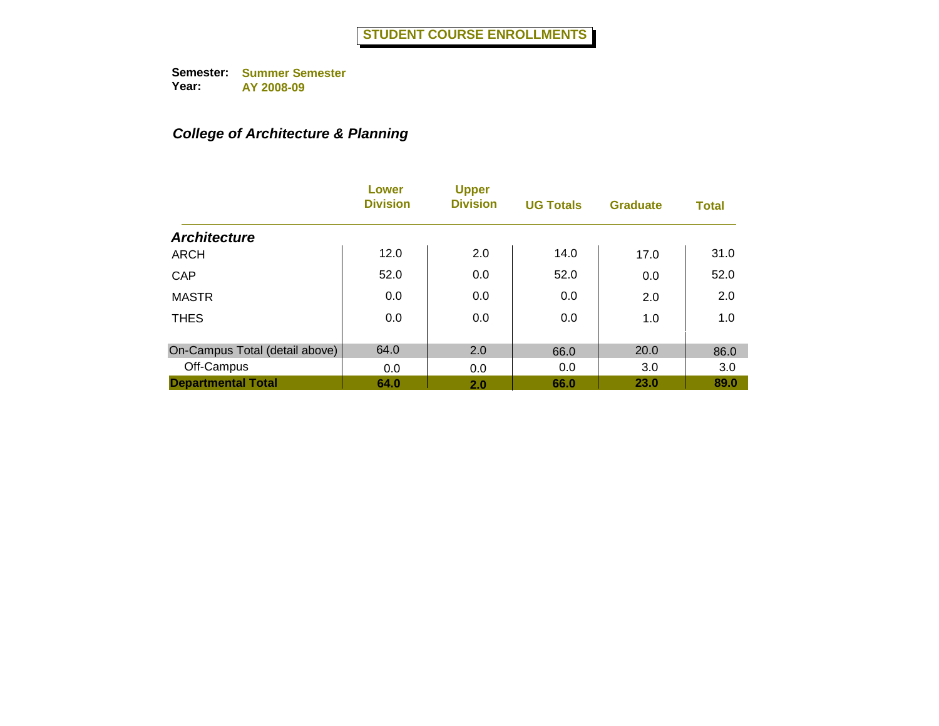## *College of Architecture & Planning*

|                                | Lower<br><b>Division</b> | <b>Upper</b><br><b>Division</b> | <b>UG Totals</b> | <b>Graduate</b> | <b>Total</b> |
|--------------------------------|--------------------------|---------------------------------|------------------|-----------------|--------------|
| <b>Architecture</b>            |                          |                                 |                  |                 |              |
| <b>ARCH</b>                    | 12.0                     | 2.0                             | 14.0             | 17.0            | 31.0         |
| CAP                            | 52.0                     | 0.0                             | 52.0             | 0.0             | 52.0         |
| <b>MASTR</b>                   | 0.0                      | 0.0                             | 0.0              | 2.0             | 2.0          |
| <b>THES</b>                    | 0.0                      | 0.0                             | 0.0              | 1.0             | 1.0          |
|                                |                          |                                 |                  |                 |              |
| On-Campus Total (detail above) | 64.0                     | 2.0                             | 66.0             | 20.0            | 86.0         |
| Off-Campus                     | 0.0                      | 0.0                             | 0.0              | 3.0             | 3.0          |
| <b>Departmental Total</b>      | 64.0                     | 2.0                             | 66.0             | 23.0            | 89.0         |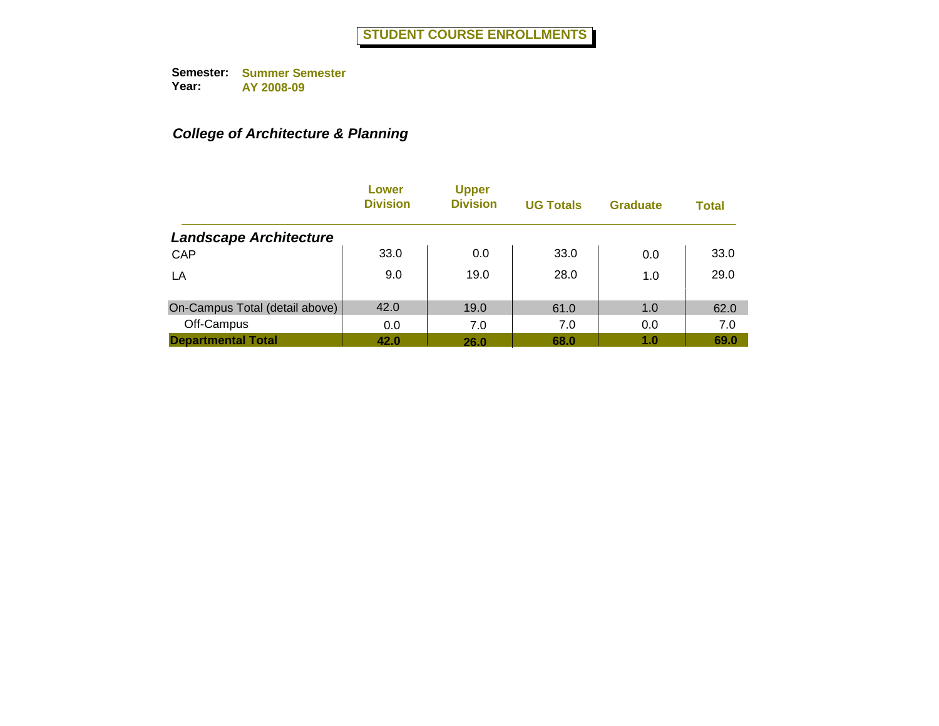## *College of Architecture & Planning*

|                                | Lower<br><b>Division</b> | <b>Upper</b><br><b>Division</b> | <b>UG Totals</b> | <b>Graduate</b> | <b>Total</b> |
|--------------------------------|--------------------------|---------------------------------|------------------|-----------------|--------------|
| <b>Landscape Architecture</b>  |                          |                                 |                  |                 |              |
| CAP                            | 33.0                     | 0.0                             | 33.0             | 0.0             | 33.0         |
| LA                             | 9.0                      | 19.0                            | 28.0             | 1.0             | 29.0         |
| On-Campus Total (detail above) | 42.0                     | 19.0                            | 61.0             | 1.0             | 62.0         |
| Off-Campus                     | 0.0                      | 7.0                             | 7.0              | 0.0             | 7.0          |
| <b>Departmental Total</b>      | 42.0                     | 26.0                            | 68.0             | 1.0             | 69.0         |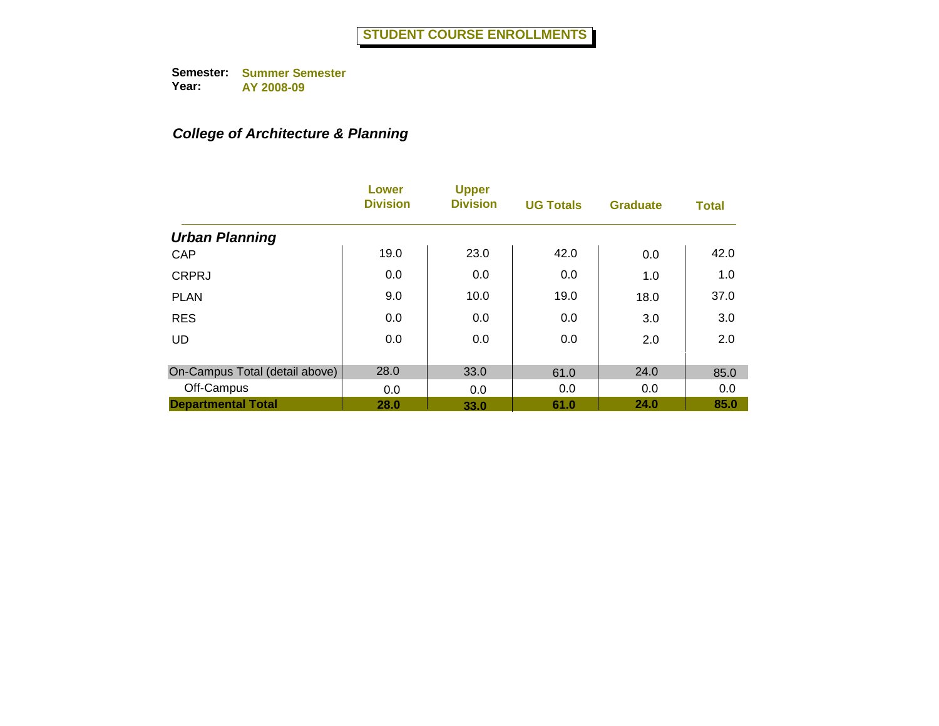## *College of Architecture & Planning*

|                                | Lower<br><b>Division</b> | <b>Upper</b><br><b>Division</b> | <b>UG Totals</b> | <b>Graduate</b> | <b>Total</b> |
|--------------------------------|--------------------------|---------------------------------|------------------|-----------------|--------------|
| <b>Urban Planning</b>          |                          |                                 |                  |                 |              |
| CAP                            | 19.0                     | 23.0                            | 42.0             | 0.0             | 42.0         |
| <b>CRPRJ</b>                   | 0.0                      | 0.0                             | 0.0              | 1.0             | 1.0          |
| <b>PLAN</b>                    | 9.0                      | 10.0                            | 19.0             | 18.0            | 37.0         |
| <b>RES</b>                     | 0.0                      | 0.0                             | 0.0              | 3.0             | 3.0          |
| <b>UD</b>                      | 0.0                      | 0.0                             | 0.0              | 2.0             | 2.0          |
| On-Campus Total (detail above) | 28.0                     | 33.0                            | 61.0             | 24.0            | 85.0         |
| Off-Campus                     | 0.0                      | 0.0                             | 0.0              | 0.0             | 0.0          |
| <b>Departmental Total</b>      | 28.0                     | 33.0                            | 61.0             | 24.0            | 85.0         |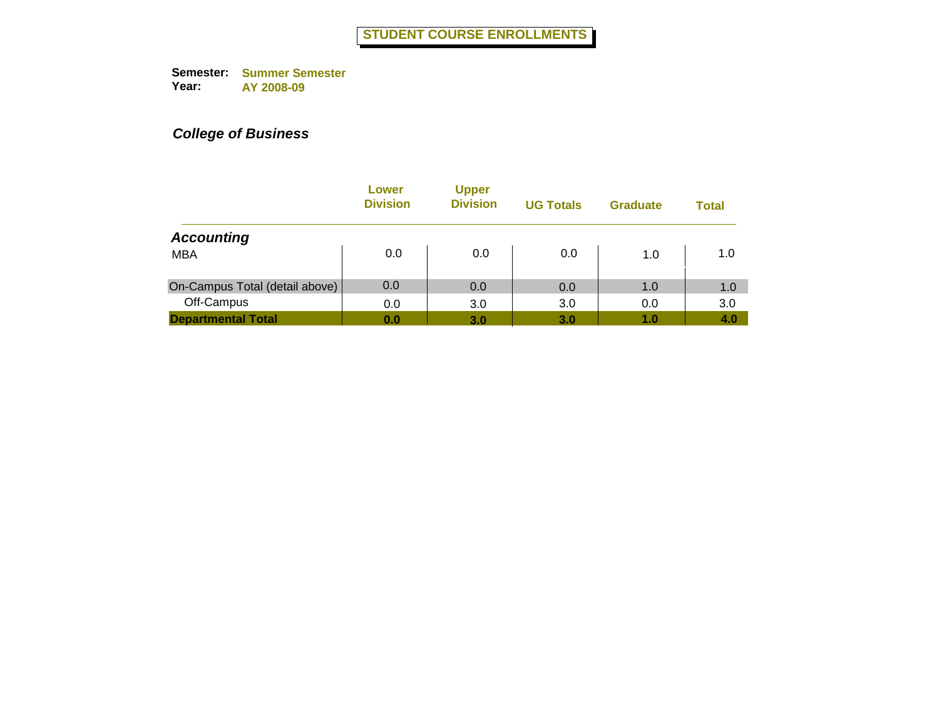|                                | Lower<br><b>Division</b> | <b>Upper</b><br><b>Division</b> | <b>UG Totals</b> | <b>Graduate</b> | Total |
|--------------------------------|--------------------------|---------------------------------|------------------|-----------------|-------|
| <b>Accounting</b>              |                          |                                 |                  |                 |       |
| <b>MBA</b>                     | 0.0                      | 0.0                             | 0.0              | 1.0             | 1.0   |
| On-Campus Total (detail above) | 0.0                      | 0.0                             | 0.0              | 1.0             | 1.0   |
| Off-Campus                     | 0.0                      | 3.0                             | 3.0              | 0.0             | 3.0   |
| <b>Departmental Total</b>      | 0.0                      | 3.0                             | 3.0              | 1.0             | 4.0   |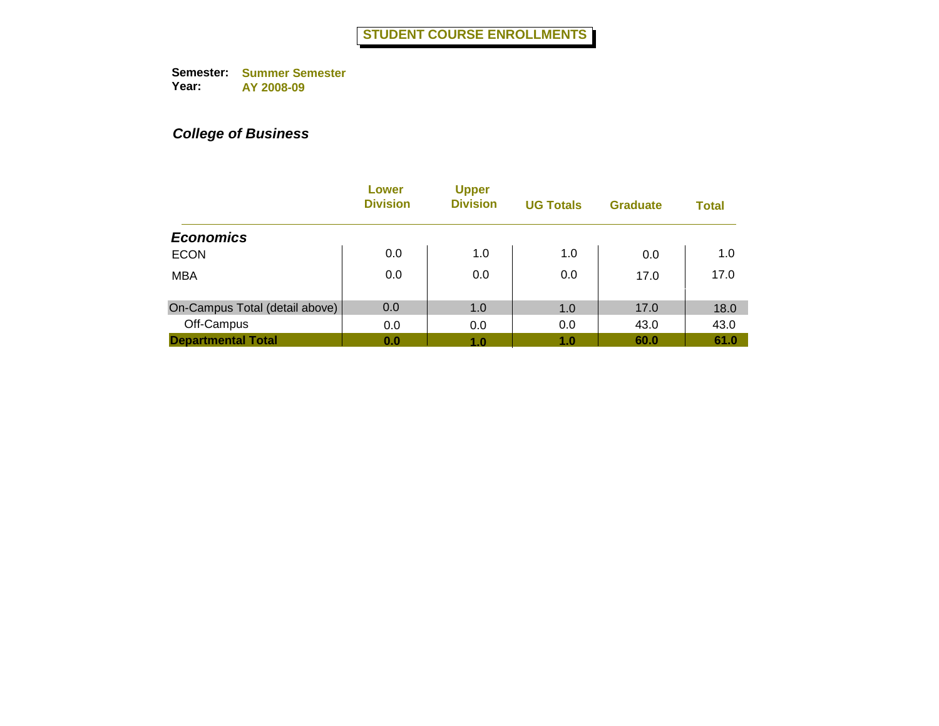|                                | Lower<br><b>Division</b> | <b>Upper</b><br><b>Division</b> | <b>UG Totals</b> | <b>Graduate</b> | <b>Total</b> |
|--------------------------------|--------------------------|---------------------------------|------------------|-----------------|--------------|
| <b>Economics</b>               |                          |                                 |                  |                 |              |
| <b>ECON</b>                    | 0.0                      | 1.0                             | 1.0              | 0.0             | 1.0          |
| <b>MBA</b>                     | 0.0                      | 0.0                             | 0.0              | 17.0            | 17.0         |
| On-Campus Total (detail above) | 0.0                      | 1.0                             | 1.0              | 17.0            | 18.0         |
| Off-Campus                     | 0.0                      | 0.0                             | 0.0              | 43.0            | 43.0         |
| <b>Departmental Total</b>      | 0.0                      | 1.0                             | 1.0              | 60.0            | 61.0         |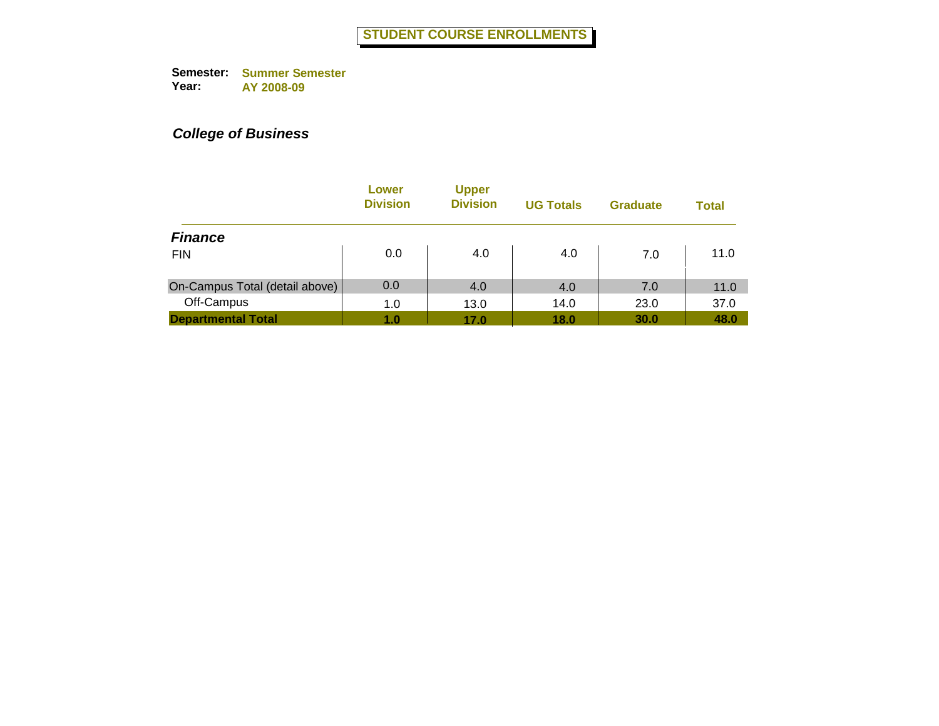|                                | Lower<br><b>Division</b> | <b>Upper</b><br><b>Division</b> | <b>UG Totals</b> | <b>Graduate</b> | Total |
|--------------------------------|--------------------------|---------------------------------|------------------|-----------------|-------|
| <b>Finance</b>                 |                          |                                 |                  |                 |       |
| <b>FIN</b>                     | 0.0                      | 4.0                             | 4.0              | 7.0             | 11.0  |
| On-Campus Total (detail above) | 0.0                      | 4.0                             | 4.0              | 7.0             | 11.0  |
| Off-Campus                     | 1.0                      | 13.0                            | 14.0             | 23.0            | 37.0  |
| <b>Departmental Total</b>      | 1.0                      | 17.0                            | 18.0             | 30.0            | 48.0  |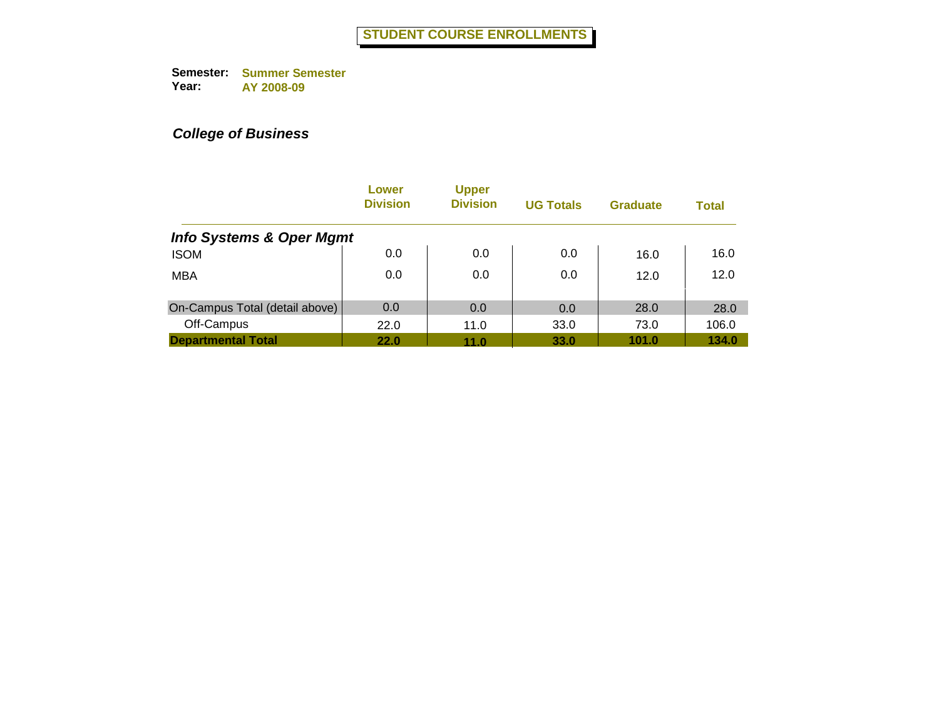|                                     | Lower<br><b>Division</b> | <b>Upper</b><br><b>Division</b> | <b>UG Totals</b> | <b>Graduate</b> | <b>Total</b> |
|-------------------------------------|--------------------------|---------------------------------|------------------|-----------------|--------------|
| <b>Info Systems &amp; Oper Mgmt</b> |                          |                                 |                  |                 |              |
| <b>ISOM</b>                         | 0.0                      | 0.0                             | 0.0              | 16.0            | 16.0         |
| <b>MBA</b>                          | 0.0                      | 0.0                             | 0.0              | 12.0            | 12.0         |
| On-Campus Total (detail above)      | 0.0                      | 0.0                             | 0.0              | 28.0            | 28.0         |
| Off-Campus                          | 22.0                     | 11.0                            | 33.0             | 73.0            | 106.0        |
| <b>Departmental Total</b>           | 22.0                     | 11.0                            | 33.0             | 101.0           | 134.0        |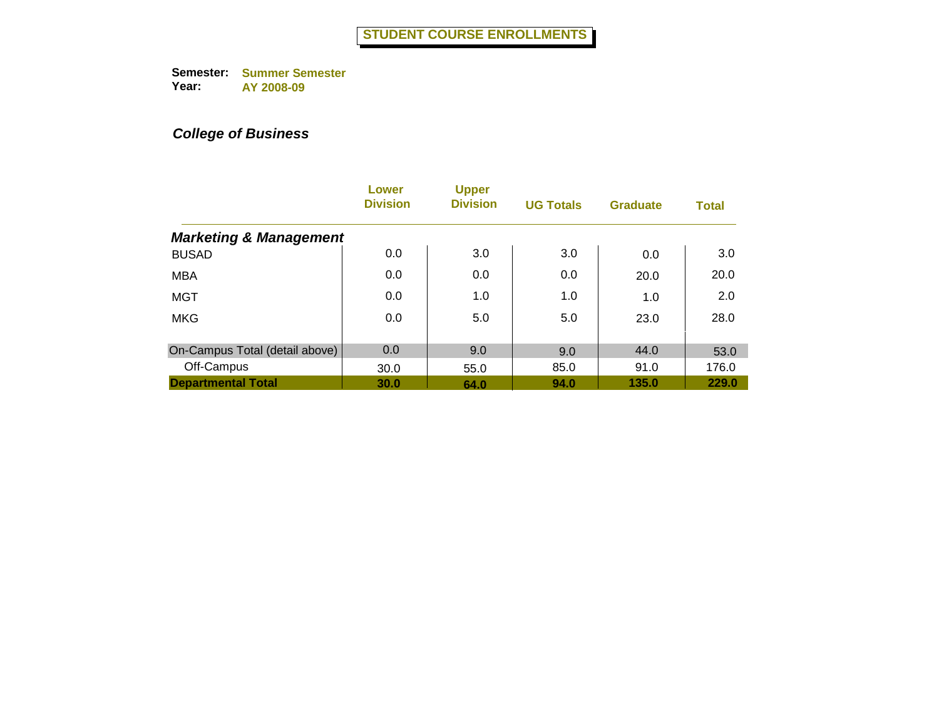|                                   | Lower<br><b>Division</b> | <b>Upper</b><br><b>Division</b> | <b>UG Totals</b> | <b>Graduate</b> | <b>Total</b> |
|-----------------------------------|--------------------------|---------------------------------|------------------|-----------------|--------------|
| <b>Marketing &amp; Management</b> |                          |                                 |                  |                 |              |
| <b>BUSAD</b>                      | 0.0                      | 3.0                             | 3.0              | 0.0             | 3.0          |
| <b>MBA</b>                        | 0.0                      | 0.0                             | 0.0              | 20.0            | 20.0         |
| <b>MGT</b>                        | 0.0                      | 1.0                             | 1.0              | 1.0             | 2.0          |
| <b>MKG</b>                        | 0.0                      | 5.0                             | 5.0              | 23.0            | 28.0         |
| On-Campus Total (detail above)    | 0.0                      | 9.0                             | 9.0              | 44.0            | 53.0         |
| Off-Campus                        | 30.0                     | 55.0                            | 85.0             | 91.0            | 176.0        |
| <b>Departmental Total</b>         | 30.0                     | 64.0                            | 94.0             | 135.0           | 229.0        |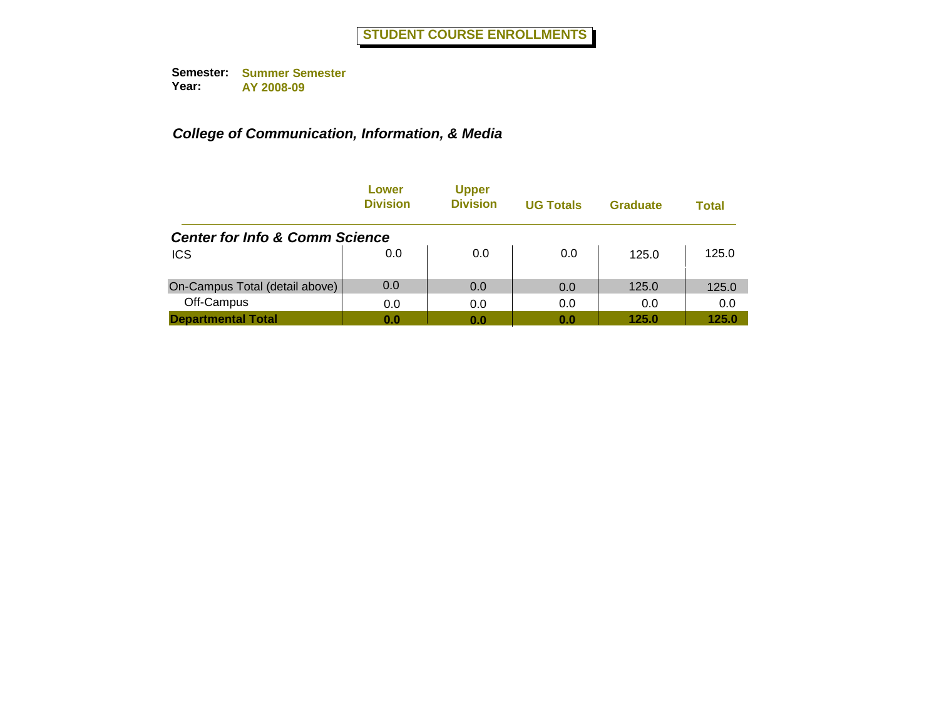|                                           | Lower<br><b>Division</b> | <b>Upper</b><br><b>Division</b> | <b>UG Totals</b> | Graduate | Total |
|-------------------------------------------|--------------------------|---------------------------------|------------------|----------|-------|
| <b>Center for Info &amp; Comm Science</b> |                          |                                 |                  |          |       |
| <b>ICS</b>                                | 0.0                      | 0.0                             | 0.0              | 125.0    | 125.0 |
| On-Campus Total (detail above)            | 0.0                      | 0.0                             | 0.0              | 125.0    | 125.0 |
| Off-Campus                                | 0.0                      | 0.0                             | 0.0              | 0.0      | 0.0   |
| <b>Departmental Total</b>                 | 0.0                      | 0.0                             | 0.0              | 125.0    | 125.0 |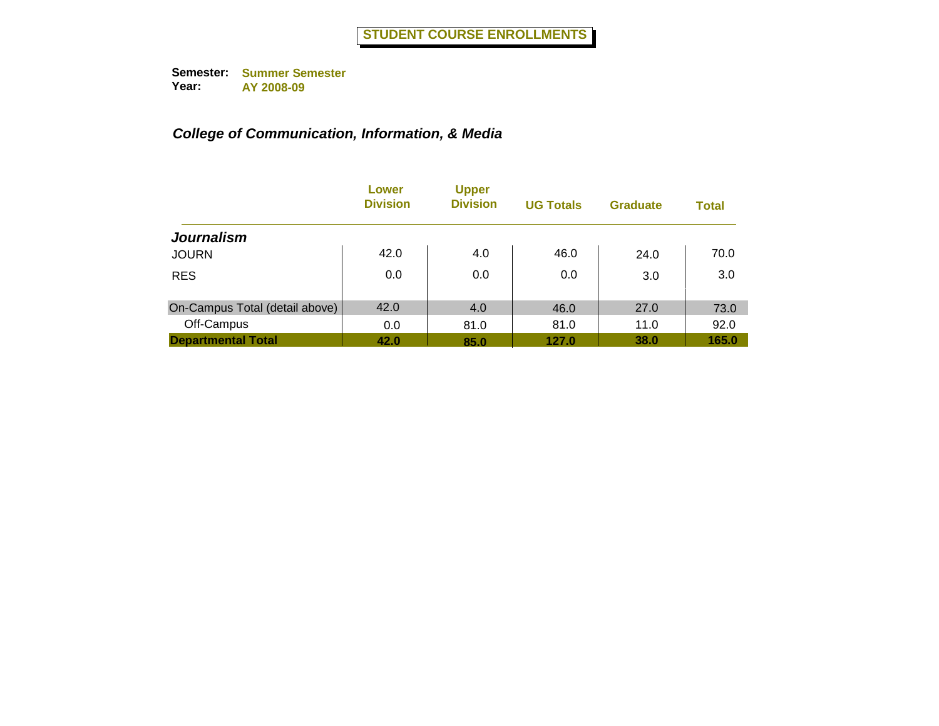|                                | Lower<br><b>Division</b> | <b>Upper</b><br><b>Division</b> | <b>UG Totals</b> | <b>Graduate</b> | <b>Total</b> |
|--------------------------------|--------------------------|---------------------------------|------------------|-----------------|--------------|
| <b>Journalism</b>              |                          |                                 |                  |                 |              |
| <b>JOURN</b>                   | 42.0                     | 4.0                             | 46.0             | 24.0            | 70.0         |
| <b>RES</b>                     | 0.0                      | 0.0                             | 0.0              | 3.0             | 3.0          |
| On-Campus Total (detail above) | 42.0                     | 4.0                             | 46.0             | 27.0            | 73.0         |
| Off-Campus                     | 0.0                      | 81.0                            | 81.0             | 11.0            | 92.0         |
| <b>Departmental Total</b>      | 42.0                     | 85.0                            | 127.0            | 38.0            | 165.0        |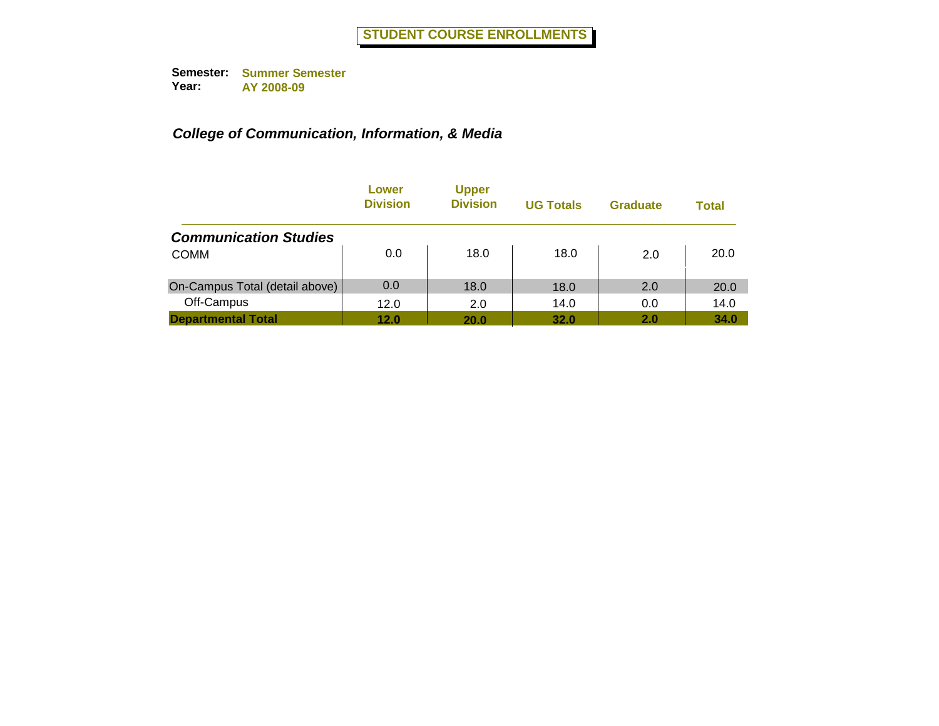|                                | Lower<br><b>Division</b> | <b>Upper</b><br><b>Division</b> | <b>UG Totals</b> | <b>Graduate</b> | <b>Total</b> |
|--------------------------------|--------------------------|---------------------------------|------------------|-----------------|--------------|
| <b>Communication Studies</b>   |                          |                                 |                  |                 |              |
| <b>COMM</b>                    | 0.0                      | 18.0                            | 18.0             | 2.0             | 20.0         |
| On-Campus Total (detail above) | 0.0                      | 18.0                            | 18.0             | 2.0             | 20.0         |
| Off-Campus                     | 12.0                     | 2.0                             | 14.0             | 0.0             | 14.0         |
| <b>Departmental Total</b>      | 12.0                     | 20.0                            | 32.0             | 2.0             | 34.0         |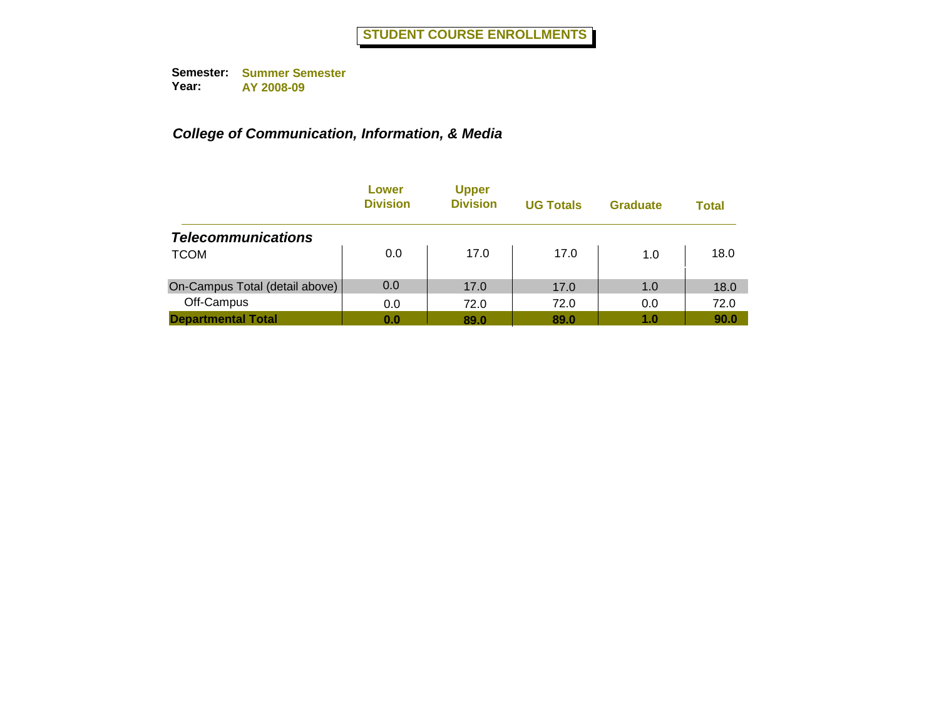|                                | Lower<br><b>Division</b> | <b>Upper</b><br><b>Division</b> | <b>UG Totals</b> | <b>Graduate</b> | Total |
|--------------------------------|--------------------------|---------------------------------|------------------|-----------------|-------|
| <b>Telecommunications</b>      |                          |                                 |                  |                 |       |
| <b>TCOM</b>                    | 0.0                      | 17.0                            | 17.0             | 1.0             | 18.0  |
| On-Campus Total (detail above) | 0.0                      | 17.0                            | 17.0             | 1.0             | 18.0  |
| Off-Campus                     | 0.0                      | 72.0                            | 72.0             | 0.0             | 72.0  |
| <b>Departmental Total</b>      | 0.0                      | 89.0                            | 89.0             | 1.0             | 90.0  |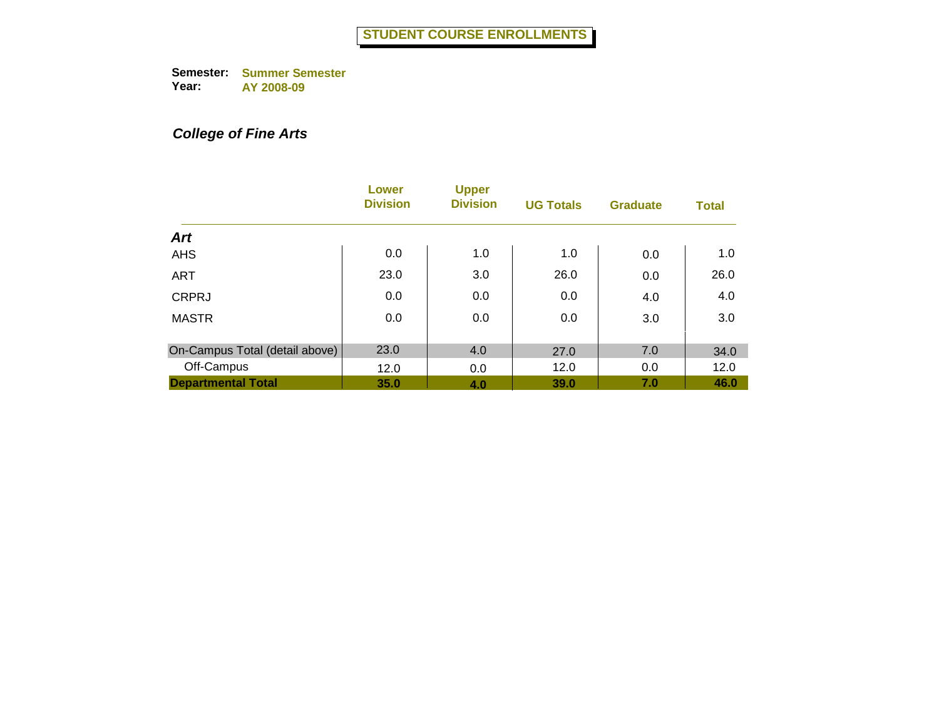# *College of Fine Arts*

|                                | Lower<br><b>Division</b> | <b>Upper</b><br><b>Division</b> | <b>UG Totals</b> | <b>Graduate</b> | <b>Total</b> |
|--------------------------------|--------------------------|---------------------------------|------------------|-----------------|--------------|
| <b>Art</b>                     |                          |                                 |                  |                 |              |
| <b>AHS</b>                     | 0.0                      | 1.0                             | 1.0              | 0.0             | 1.0          |
| <b>ART</b>                     | 23.0                     | 3.0                             | 26.0             | 0.0             | 26.0         |
| <b>CRPRJ</b>                   | 0.0                      | 0.0                             | 0.0              | 4.0             | 4.0          |
| <b>MASTR</b>                   | 0.0                      | 0.0                             | 0.0              | 3.0             | 3.0          |
| On-Campus Total (detail above) | 23.0                     | 4.0                             | 27.0             | 7.0             | 34.0         |
| Off-Campus                     | 12.0                     | 0.0                             | 12.0             | 0.0             | 12.0         |
| <b>Departmental Total</b>      | 35.0                     | 4.0                             | 39.0             | 7.0             | 46.0         |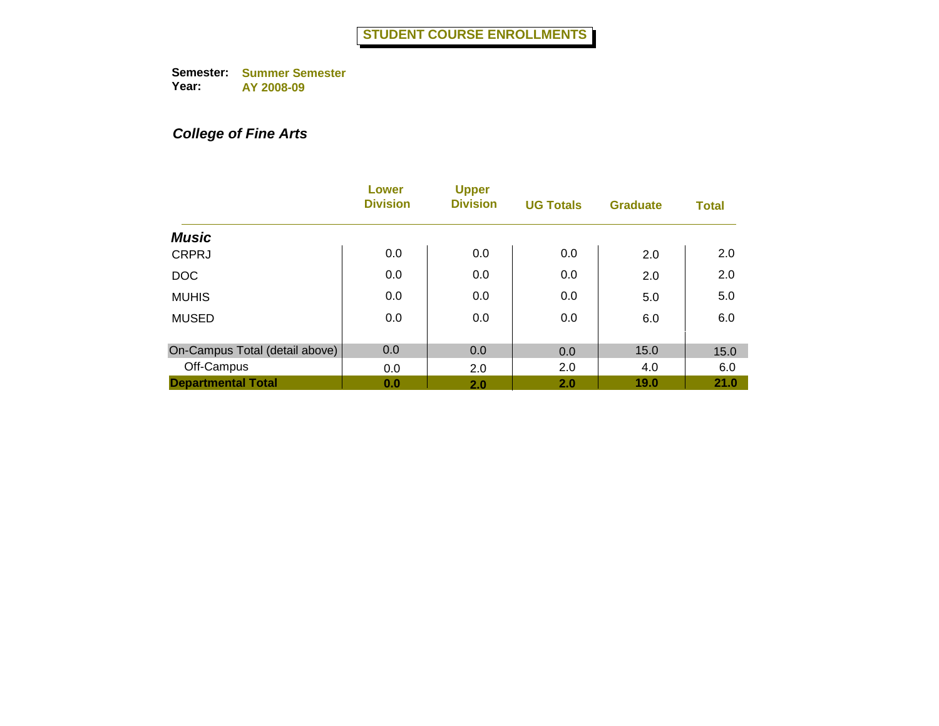# *College of Fine Arts*

|                                | Lower<br><b>Division</b> | <b>Upper</b><br><b>Division</b> | <b>UG Totals</b> | <b>Graduate</b> | <b>Total</b> |
|--------------------------------|--------------------------|---------------------------------|------------------|-----------------|--------------|
| <b>Music</b>                   |                          |                                 |                  |                 |              |
| <b>CRPRJ</b>                   | 0.0                      | 0.0                             | 0.0              | 2.0             | 2.0          |
| <b>DOC</b>                     | 0.0                      | 0.0                             | 0.0              | 2.0             | 2.0          |
| <b>MUHIS</b>                   | 0.0                      | 0.0                             | 0.0              | 5.0             | 5.0          |
| <b>MUSED</b>                   | 0.0                      | 0.0                             | 0.0              | 6.0             | 6.0          |
| On-Campus Total (detail above) | 0.0                      | 0.0                             | 0.0              | 15.0            | 15.0         |
| Off-Campus                     | 0.0                      | 2.0                             | 2.0              | 4.0             | 6.0          |
| <b>Departmental Total</b>      | 0.0                      | 2.0                             | 2.0              | 19.0            | 21.0         |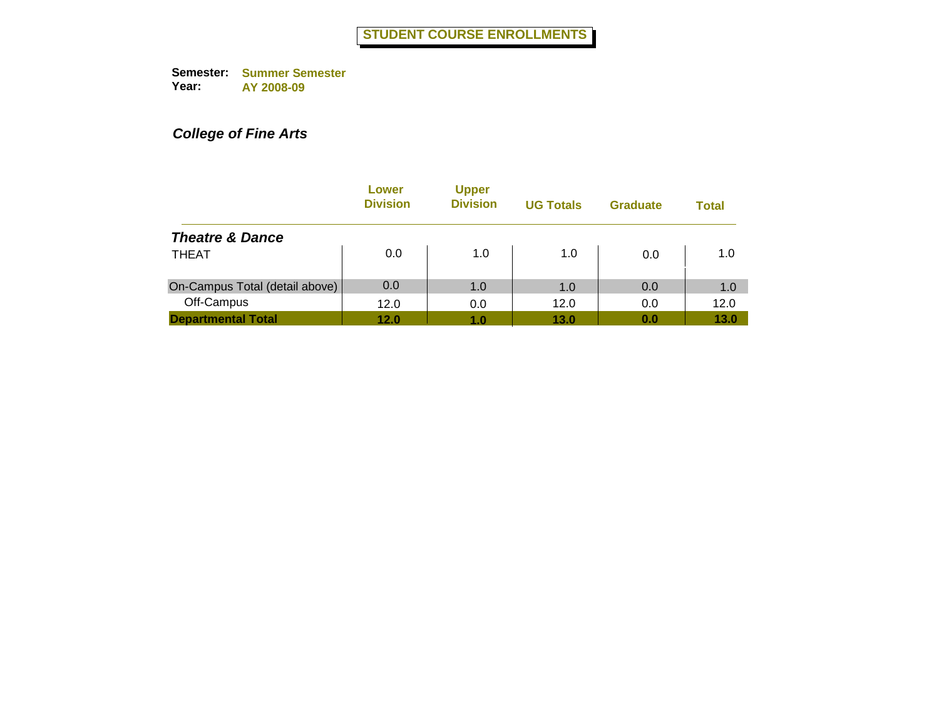## *College of Fine Arts*

|                                | Lower<br><b>Division</b> | <b>Upper</b><br><b>Division</b> | <b>UG Totals</b> | <b>Graduate</b> | <b>Total</b> |
|--------------------------------|--------------------------|---------------------------------|------------------|-----------------|--------------|
| <b>Theatre &amp; Dance</b>     |                          |                                 |                  |                 |              |
| <b>THEAT</b>                   | 0.0                      | 1.0                             | 1.0              | 0.0             | 1.0          |
| On-Campus Total (detail above) | 0.0                      | 1.0                             | 1.0              | 0.0             | 1.0          |
| Off-Campus                     | 12.0                     | 0.0                             | 12.0             | 0.0             | 12.0         |
| <b>Departmental Total</b>      | 12.0                     | 1.0                             | 13.0             | 0.0             | 13.0         |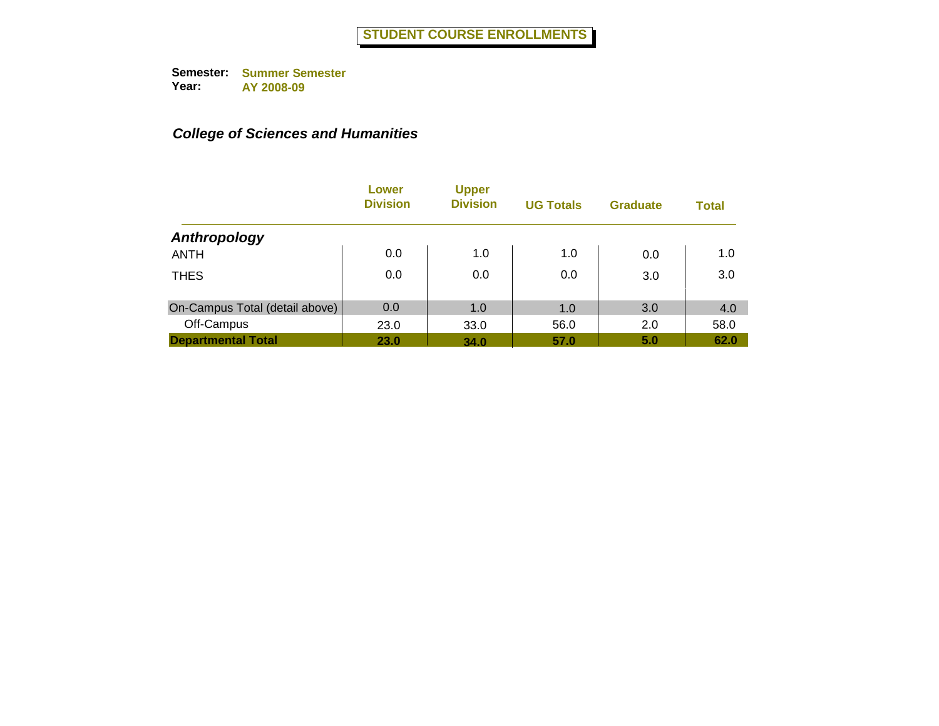|                                | Lower<br><b>Division</b> | <b>Upper</b><br><b>Division</b> | <b>UG Totals</b> | <b>Graduate</b> | <b>Total</b> |
|--------------------------------|--------------------------|---------------------------------|------------------|-----------------|--------------|
| Anthropology                   |                          |                                 |                  |                 |              |
| <b>ANTH</b>                    | 0.0                      | 1.0                             | 1.0              | 0.0             | 1.0          |
| <b>THES</b>                    | 0.0                      | 0.0                             | 0.0              | 3.0             | 3.0          |
| On-Campus Total (detail above) | 0.0                      | 1.0                             | 1.0              | 3.0             | 4.0          |
| Off-Campus                     | 23.0                     | 33.0                            | 56.0             | 2.0             | 58.0         |
| <b>Departmental Total</b>      | <b>23.0</b>              | 34.0                            | 57.0             | 5.0             | 62.0         |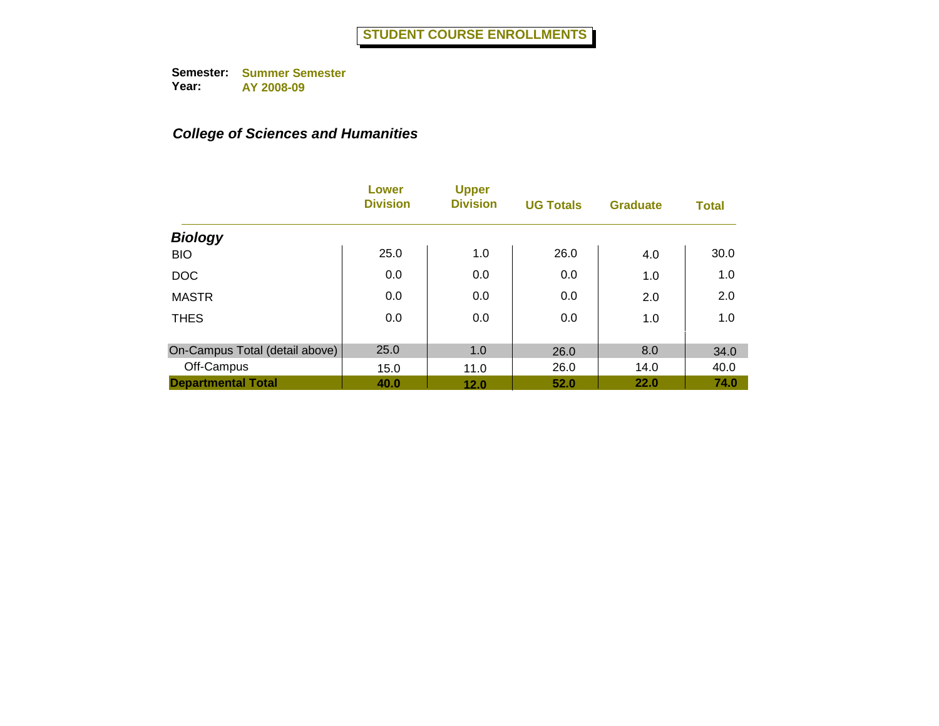|                                | Lower<br><b>Division</b> | <b>Upper</b><br><b>Division</b> | <b>UG Totals</b> | <b>Graduate</b> | <b>Total</b> |
|--------------------------------|--------------------------|---------------------------------|------------------|-----------------|--------------|
| <b>Biology</b>                 |                          |                                 |                  |                 |              |
| <b>BIO</b>                     | 25.0                     | 1.0                             | 26.0             | 4.0             | 30.0         |
| <b>DOC</b>                     | 0.0                      | 0.0                             | 0.0              | 1.0             | 1.0          |
| <b>MASTR</b>                   | 0.0                      | 0.0                             | 0.0              | 2.0             | 2.0          |
| <b>THES</b>                    | 0.0                      | 0.0                             | 0.0              | 1.0             | 1.0          |
|                                |                          |                                 |                  |                 |              |
| On-Campus Total (detail above) | 25.0                     | 1.0                             | 26.0             | 8.0             | 34.0         |
| Off-Campus                     | 15.0                     | 11.0                            | 26.0             | 14.0            | 40.0         |
| <b>Departmental Total</b>      | 40.0                     | 12.0                            | 52.0             | 22.0            | 74.0         |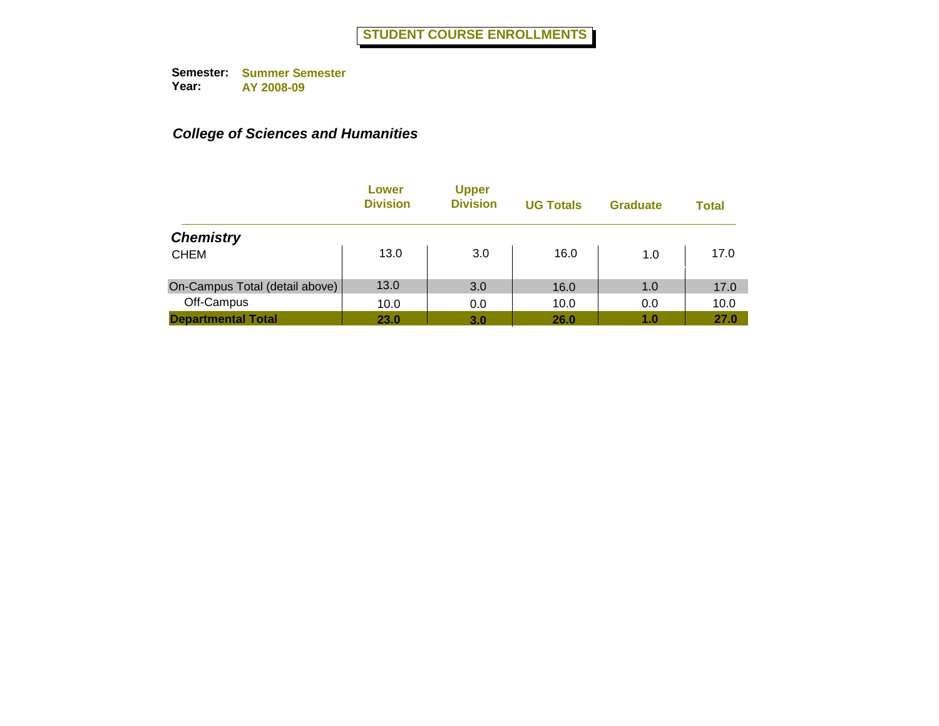|                                | Lower<br><b>Division</b> | <b>Upper</b><br><b>Division</b> | <b>UG Totals</b> | <b>Graduate</b> | <b>Total</b> |
|--------------------------------|--------------------------|---------------------------------|------------------|-----------------|--------------|
| <b>Chemistry</b>               |                          |                                 |                  |                 |              |
| <b>CHEM</b>                    | 13.0                     | 3.0                             | 16.0             | 1.0             | 17.0         |
| On-Campus Total (detail above) | 13.0                     | 3.0                             | 16.0             | 1.0             | 17.0         |
| Off-Campus                     | 10.0                     | 0.0                             | 10.0             | 0.0             | 10.0         |
| <b>Departmental Total</b>      | 23.0                     | 3.0                             | 26.0             | 1.0             | 27.0         |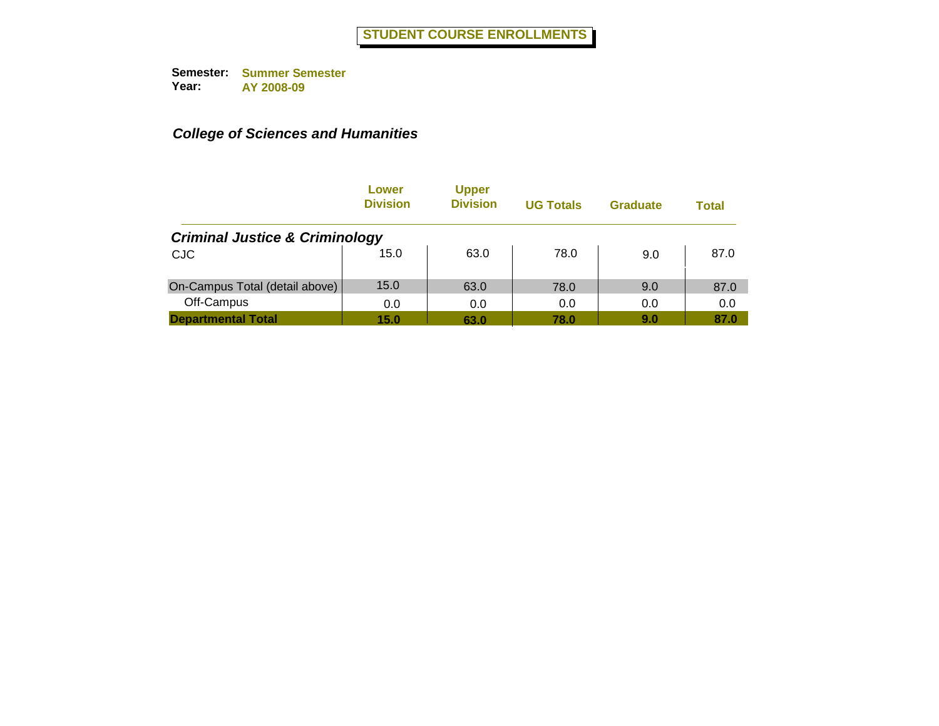|                                           | Lower<br><b>Division</b> | <b>Upper</b><br><b>Division</b> | <b>UG Totals</b> | <b>Graduate</b> | Total |
|-------------------------------------------|--------------------------|---------------------------------|------------------|-----------------|-------|
| <b>Criminal Justice &amp; Criminology</b> |                          |                                 |                  |                 |       |
| <b>CJC</b>                                | 15.0                     | 63.0                            | 78.0             | 9.0             | 87.0  |
| On-Campus Total (detail above)            | 15.0                     | 63.0                            | 78.0             | 9.0             | 87.0  |
| Off-Campus                                | 0.0                      | 0.0                             | 0.0              | 0.0             | 0.0   |
| <b>Departmental Total</b>                 | 15.0                     | 63.0                            | 78.0             | 9.0             | 87.0  |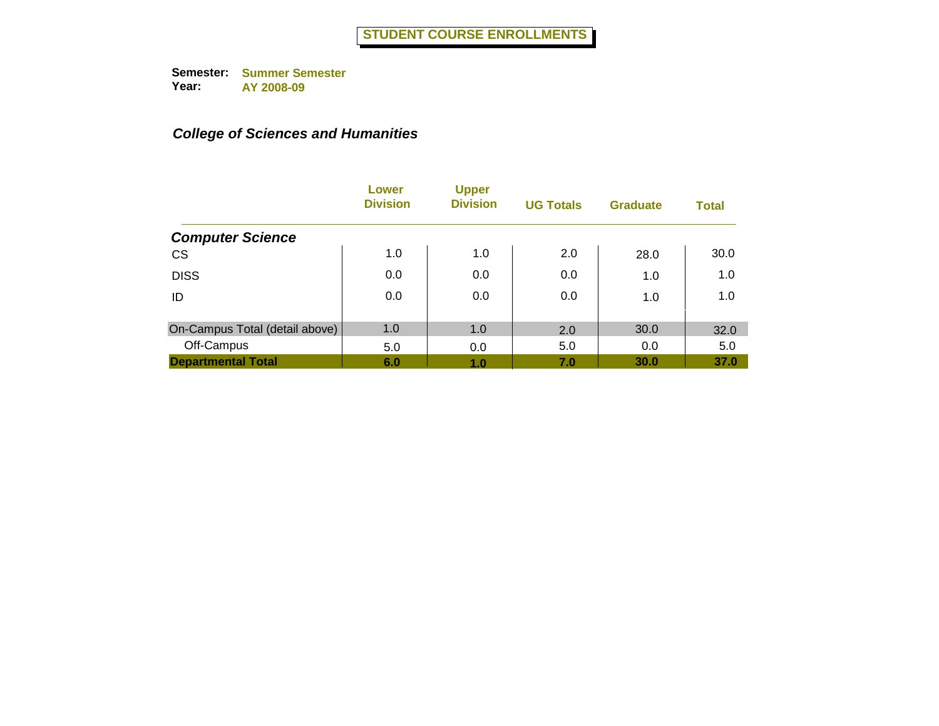|                                | Lower<br><b>Division</b> | <b>Upper</b><br><b>Division</b> | <b>UG Totals</b> | <b>Graduate</b> | <b>Total</b> |
|--------------------------------|--------------------------|---------------------------------|------------------|-----------------|--------------|
| <b>Computer Science</b>        |                          |                                 |                  |                 |              |
| <b>CS</b>                      | 1.0                      | 1.0                             | 2.0              | 28.0            | 30.0         |
| <b>DISS</b>                    | 0.0                      | 0.0                             | 0.0              | 1.0             | 1.0          |
| ID                             | 0.0                      | 0.0                             | 0.0              | 1.0             | 1.0          |
| On-Campus Total (detail above) | 1.0                      | 1.0                             | 2.0              | 30.0            | 32.0         |
| Off-Campus                     | 5.0                      | 0.0                             | 5.0              | 0.0             | 5.0          |
| <b>Departmental Total</b>      | 6.0                      | 1.0                             | 7.0              | 30.0            | 37.0         |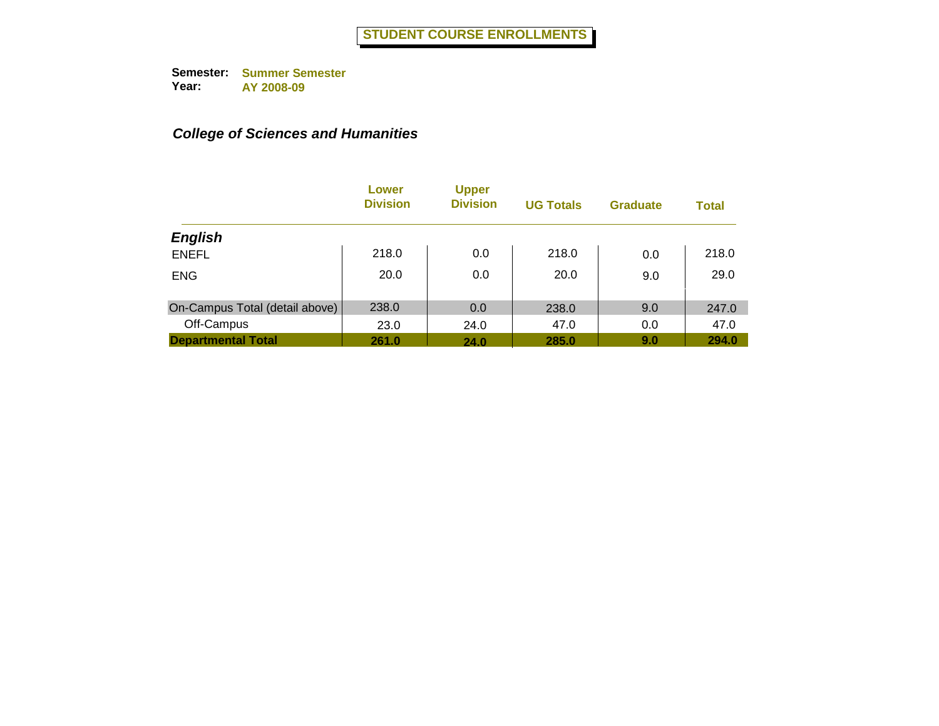|                                | Lower<br><b>Division</b> | <b>Upper</b><br><b>Division</b> | <b>UG Totals</b> | <b>Graduate</b> | <b>Total</b> |
|--------------------------------|--------------------------|---------------------------------|------------------|-----------------|--------------|
| <b>English</b>                 |                          |                                 |                  |                 |              |
| <b>ENEFL</b>                   | 218.0                    | 0.0                             | 218.0            | 0.0             | 218.0        |
| <b>ENG</b>                     | 20.0                     | 0.0                             | 20.0             | 9.0             | 29.0         |
| On-Campus Total (detail above) | 238.0                    | 0.0                             | 238.0            | 9.0             | 247.0        |
| Off-Campus                     | 23.0                     | 24.0                            | 47.0             | 0.0             | 47.0         |
| <b>Departmental Total</b>      | 261.0                    | 24.0                            | 285.0            | 9.0             | 294.0        |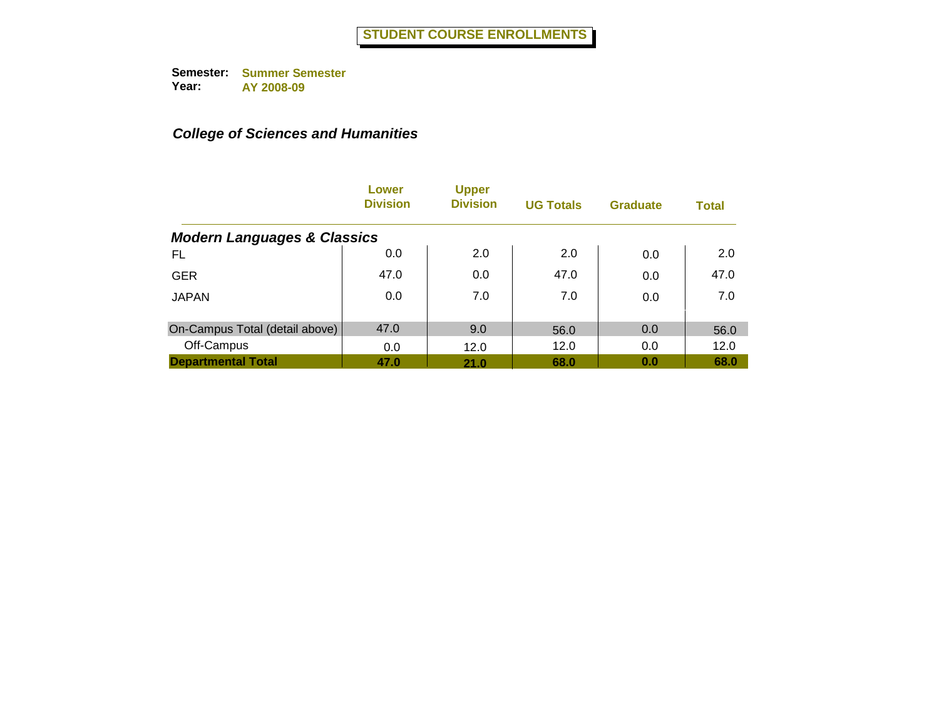|                                        | Lower<br><b>Division</b> | <b>Upper</b><br><b>Division</b> | <b>UG Totals</b> | <b>Graduate</b> | <b>Total</b> |
|----------------------------------------|--------------------------|---------------------------------|------------------|-----------------|--------------|
| <b>Modern Languages &amp; Classics</b> |                          |                                 |                  |                 |              |
| FL                                     | 0.0                      | 2.0                             | 2.0              | 0.0             | 2.0          |
| <b>GER</b>                             | 47.0                     | 0.0                             | 47.0             | 0.0             | 47.0         |
| <b>JAPAN</b>                           | 0.0                      | 7.0                             | 7.0              | 0.0             | 7.0          |
| On-Campus Total (detail above)         | 47.0                     | 9.0                             | 56.0             | 0.0             | 56.0         |
| Off-Campus                             | 0.0                      | 12.0                            | 12.0             | 0.0             | 12.0         |
| <b>Departmental Total</b>              | 47.0                     | 21.0                            | 68.0             | 0.0             | 68.0         |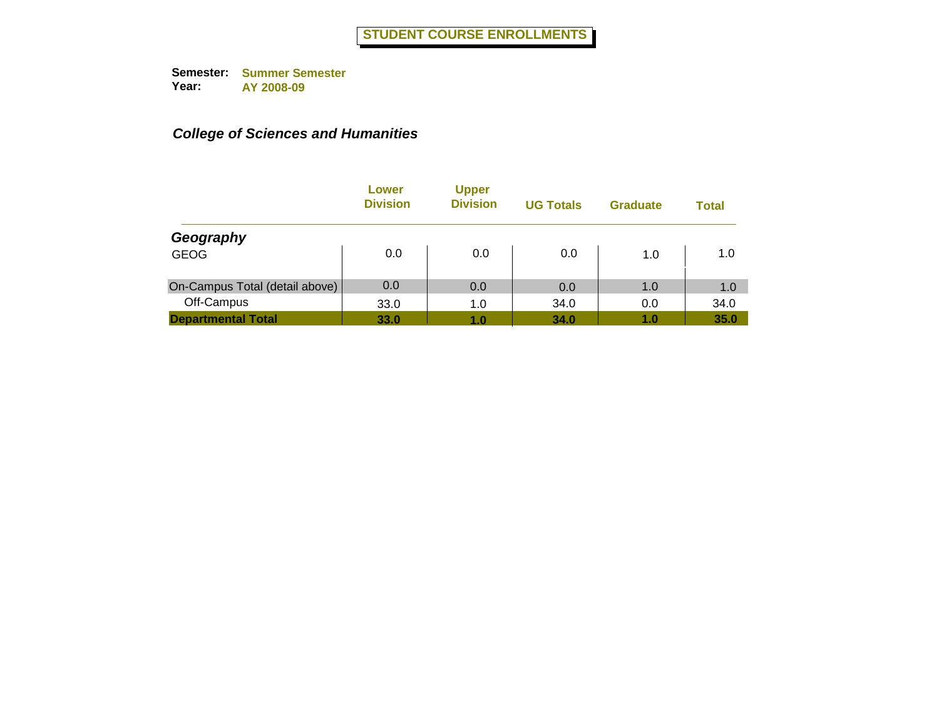|                                | Lower<br><b>Division</b> | <b>Upper</b><br><b>Division</b> | <b>UG Totals</b> | <b>Graduate</b> | <b>Total</b> |
|--------------------------------|--------------------------|---------------------------------|------------------|-----------------|--------------|
| Geography                      |                          |                                 |                  |                 |              |
| <b>GEOG</b>                    | 0.0                      | 0.0                             | 0.0              | 1.0             | 1.0          |
| On-Campus Total (detail above) | 0.0                      | 0.0                             | 0.0              | 1.0             | 1.0          |
| Off-Campus                     | 33.0                     | 1.0                             | 34.0             | 0.0             | 34.0         |
| <b>Departmental Total</b>      | 33.0                     | 1.0                             | 34.0             | 1.0             | 35.0         |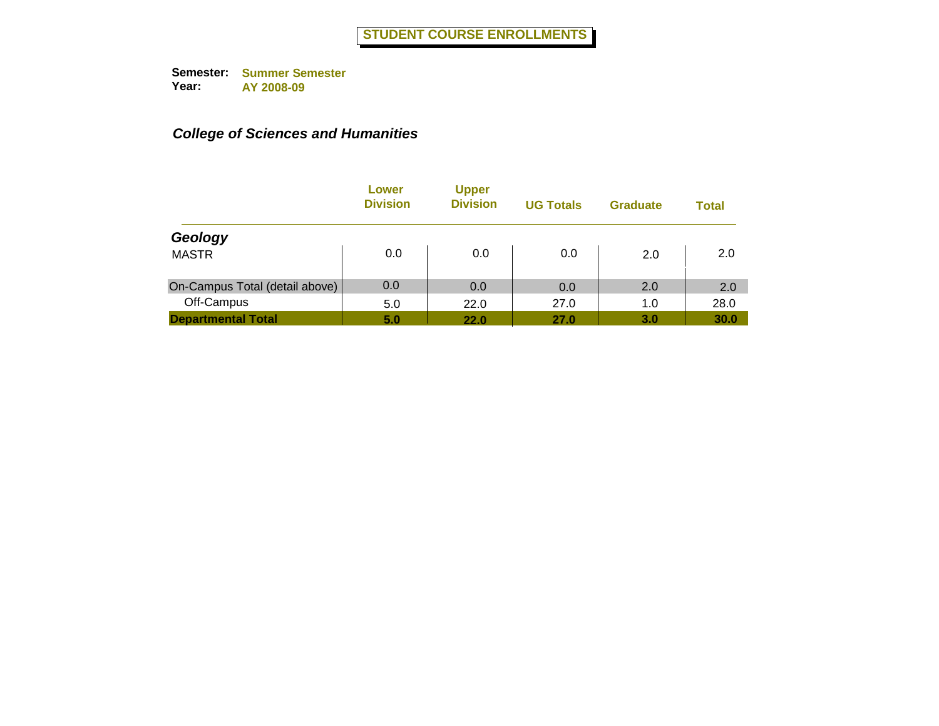|                                | Lower<br><b>Division</b> | <b>Upper</b><br><b>Division</b> | <b>UG Totals</b> | <b>Graduate</b> | <b>Total</b> |
|--------------------------------|--------------------------|---------------------------------|------------------|-----------------|--------------|
| Geology                        |                          |                                 |                  |                 |              |
| <b>MASTR</b>                   | 0.0                      | 0.0                             | 0.0              | 2.0             | 2.0          |
| On-Campus Total (detail above) | 0.0                      | 0.0                             | 0.0              | 2.0             | 2.0          |
| Off-Campus                     | 5.0                      | 22.0                            | 27.0             | 1.0             | 28.0         |
| <b>Departmental Total</b>      | 5.0                      | 22.0                            | 27.0             | 3.0             | 30.0         |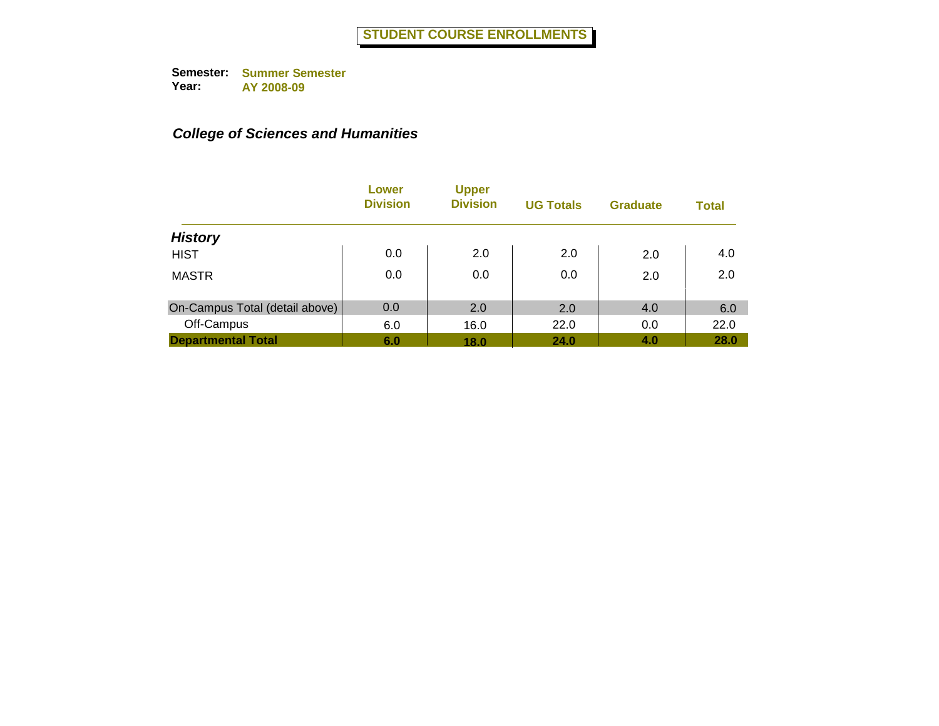|                                | Lower<br><b>Division</b> | <b>Upper</b><br><b>Division</b> | <b>UG Totals</b> | <b>Graduate</b> | <b>Total</b> |
|--------------------------------|--------------------------|---------------------------------|------------------|-----------------|--------------|
| <b>History</b>                 |                          |                                 |                  |                 |              |
| <b>HIST</b>                    | 0.0                      | 2.0                             | 2.0              | 2.0             | 4.0          |
| <b>MASTR</b>                   | 0.0                      | 0.0                             | 0.0              | 2.0             | 2.0          |
| On-Campus Total (detail above) | 0.0                      | 2.0                             | 2.0              | 4.0             | 6.0          |
| Off-Campus                     | 6.0                      | 16.0                            | 22.0             | 0.0             | 22.0         |
| <b>Departmental Total</b>      | 6.0                      | 18.0                            | 24.0             | 4.0             | 28.0         |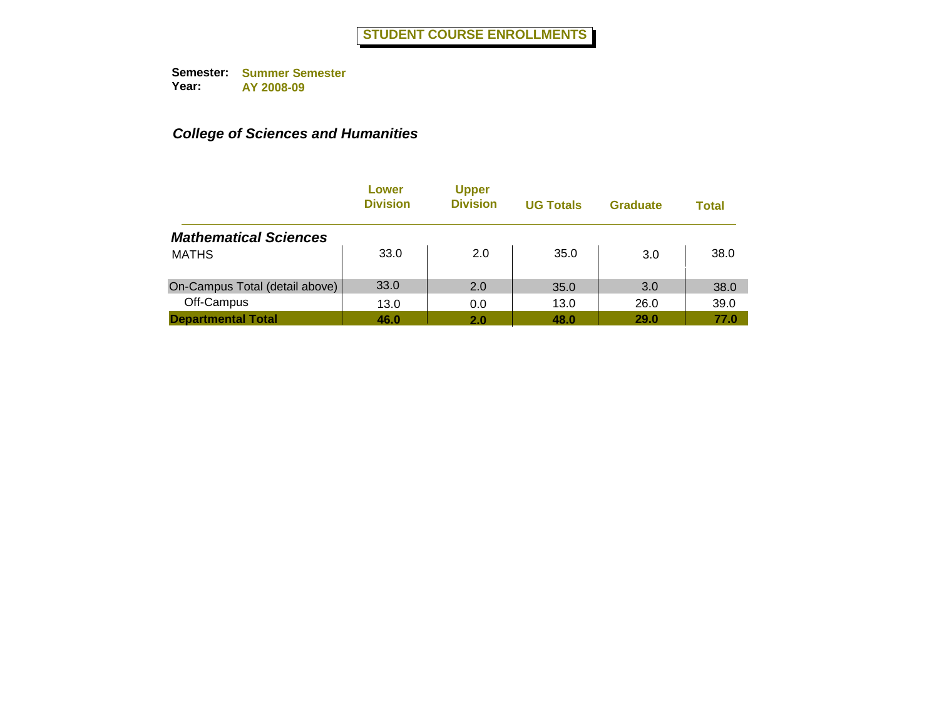|                                | Lower<br><b>Division</b> | <b>Upper</b><br><b>Division</b> | <b>UG Totals</b> | <b>Graduate</b> | <b>Total</b> |
|--------------------------------|--------------------------|---------------------------------|------------------|-----------------|--------------|
| <b>Mathematical Sciences</b>   |                          |                                 |                  |                 |              |
| <b>MATHS</b>                   | 33.0                     | 2.0                             | 35.0             | 3.0             | 38.0         |
| On-Campus Total (detail above) | 33.0                     | 2.0                             | 35.0             | 3.0             | 38.0         |
| Off-Campus                     | 13.0                     | 0.0                             | 13.0             | 26.0            | 39.0         |
| <b>Departmental Total</b>      | 46.0                     | 2.0                             | 48.0             | 29.0            | 77.0         |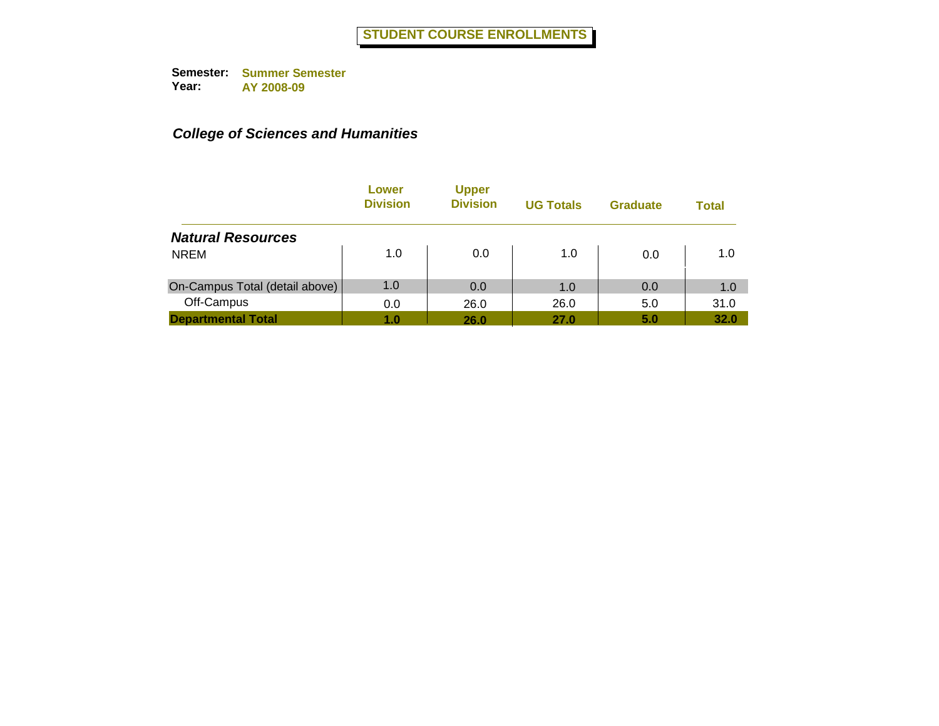|                                | Lower<br><b>Division</b> | <b>Upper</b><br><b>Division</b> | <b>UG Totals</b> | <b>Graduate</b> | Total |
|--------------------------------|--------------------------|---------------------------------|------------------|-----------------|-------|
| <b>Natural Resources</b>       |                          |                                 |                  |                 |       |
| <b>NREM</b>                    | 1.0                      | 0.0                             | 1.0              | 0.0             | 1.0   |
| On-Campus Total (detail above) | 1.0                      | 0.0                             | 1.0              | 0.0             | 1.0   |
| Off-Campus                     | 0.0                      | 26.0                            | 26.0             | 5.0             | 31.0  |
| <b>Departmental Total</b>      | 1.0                      | 26.0                            | 27.0             | 5.0             | 32.0  |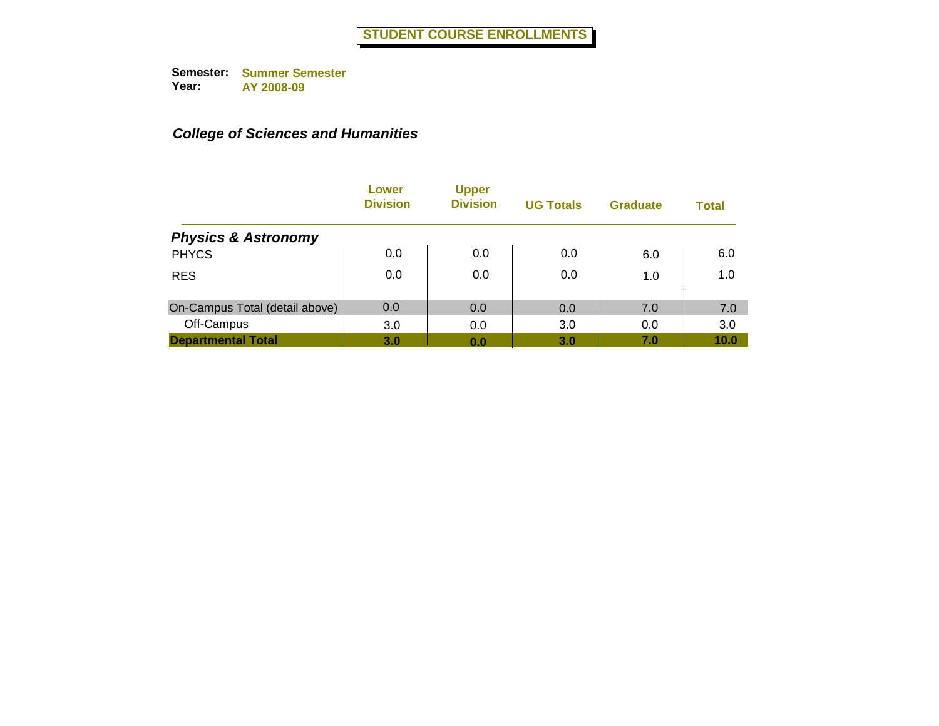|                                | Lower<br><b>Division</b> | <b>Upper</b><br><b>Division</b> | <b>UG Totals</b> | <b>Graduate</b> | <b>Total</b> |
|--------------------------------|--------------------------|---------------------------------|------------------|-----------------|--------------|
| <b>Physics &amp; Astronomy</b> |                          |                                 |                  |                 |              |
| <b>PHYCS</b>                   | 0.0                      | 0.0                             | 0.0              | 6.0             | 6.0          |
| <b>RES</b>                     | 0.0                      | 0.0                             | 0.0              | 1.0             | 1.0          |
| On-Campus Total (detail above) | 0.0                      | 0.0                             | 0.0              | 7.0             | 7.0          |
| Off-Campus                     | 3.0                      | 0.0                             | 3.0              | 0.0             | 3.0          |
| <b>Departmental Total</b>      | 3.0                      | 0.0                             | 3.0              | 7.0             | 10.0         |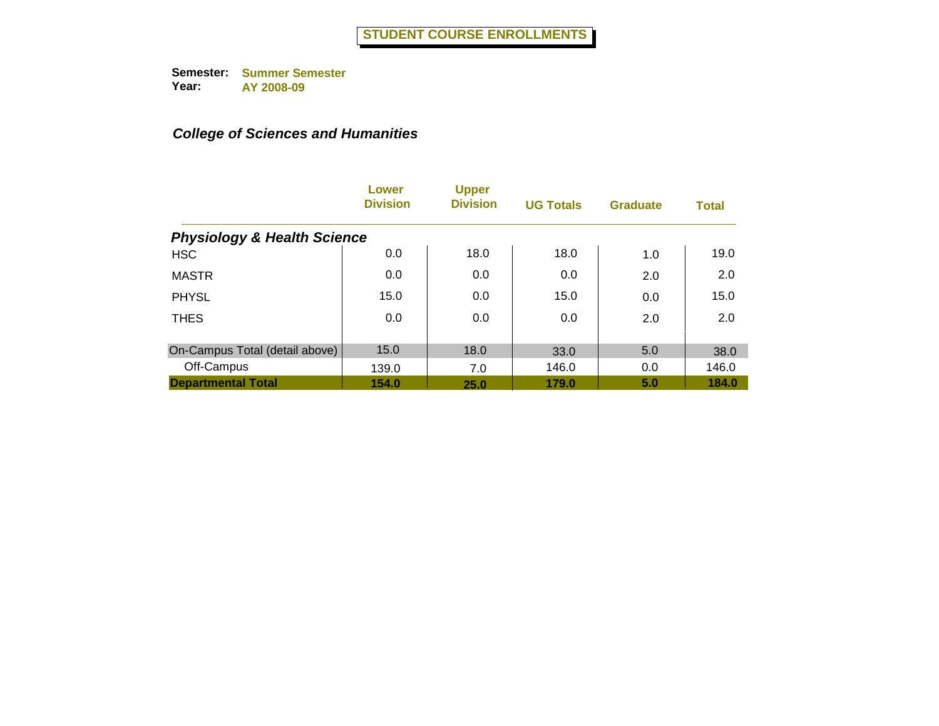|                                        | Lower<br><b>Division</b> | <b>Upper</b><br><b>Division</b> | <b>UG Totals</b> | <b>Graduate</b> | <b>Total</b> |
|----------------------------------------|--------------------------|---------------------------------|------------------|-----------------|--------------|
| <b>Physiology &amp; Health Science</b> |                          |                                 |                  |                 |              |
| <b>HSC</b>                             | 0.0                      | 18.0                            | 18.0             | 1.0             | 19.0         |
| <b>MASTR</b>                           | 0.0                      | 0.0                             | 0.0              | 2.0             | 2.0          |
| <b>PHYSL</b>                           | 15.0                     | 0.0                             | 15.0             | 0.0             | 15.0         |
| <b>THES</b>                            | 0.0                      | 0.0                             | 0.0              | 2.0             | 2.0          |
| On-Campus Total (detail above)         | 15.0                     | 18.0                            | 33.0             | 5.0             | 38.0         |
| Off-Campus                             | 139.0                    | 7.0                             | 146.0            | 0.0             | 146.0        |
| <b>Departmental Total</b>              | 154.0                    | <b>25.0</b>                     | 179.0            | 5.0             | 184.0        |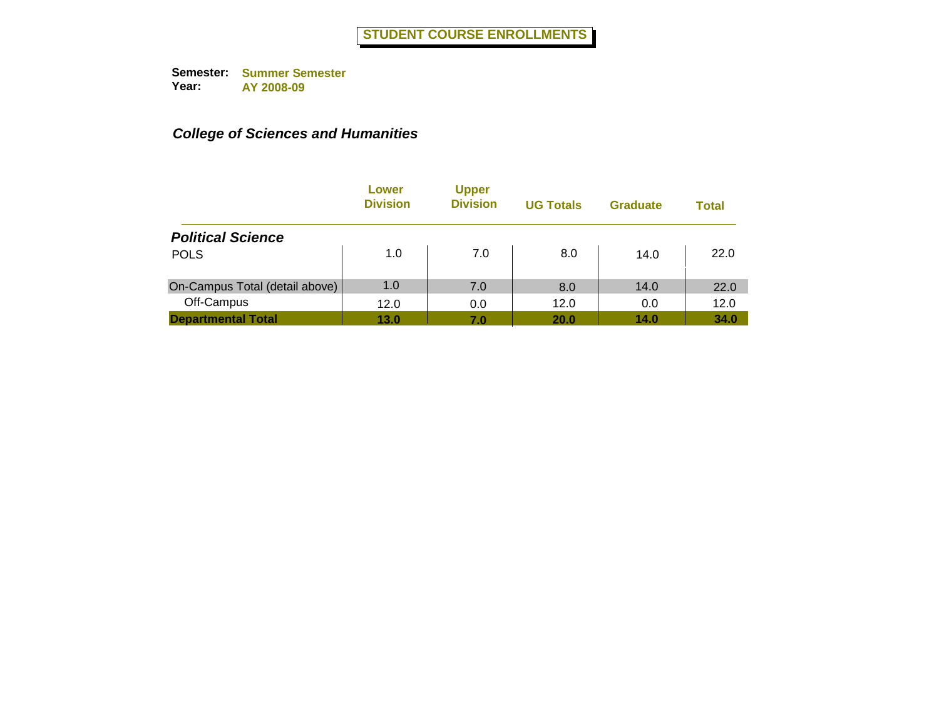|                                | Lower<br><b>Division</b> | <b>Upper</b><br><b>Division</b> | <b>UG Totals</b> | <b>Graduate</b> | <b>Total</b> |
|--------------------------------|--------------------------|---------------------------------|------------------|-----------------|--------------|
| <b>Political Science</b>       |                          |                                 |                  |                 |              |
| <b>POLS</b>                    | 1.0                      | 7.0                             | 8.0              | 14.0            | 22.0         |
| On-Campus Total (detail above) | 1.0                      | 7.0                             | 8.0              | 14.0            | 22.0         |
| Off-Campus                     | 12.0                     | 0.0                             | 12.0             | 0.0             | 12.0         |
| <b>Departmental Total</b>      | 13.0                     | 7.0                             | <b>20.0</b>      | 14.0            | 34.0         |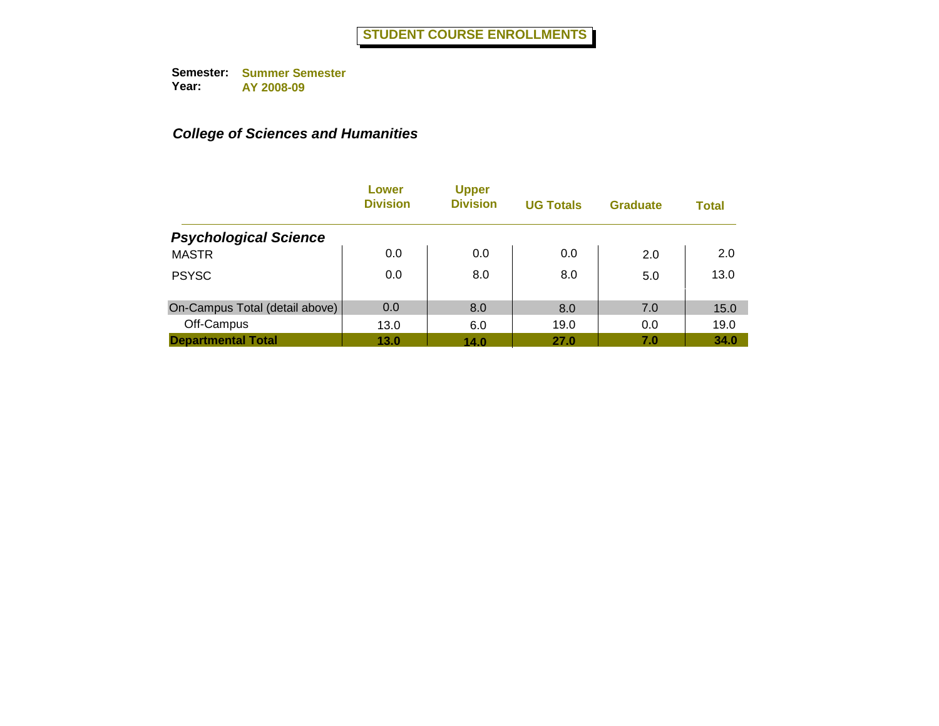|                                | Lower<br><b>Division</b> | <b>Upper</b><br><b>Division</b> | <b>UG Totals</b> | <b>Graduate</b> | <b>Total</b> |
|--------------------------------|--------------------------|---------------------------------|------------------|-----------------|--------------|
| <b>Psychological Science</b>   |                          |                                 |                  |                 |              |
| <b>MASTR</b>                   | 0.0                      | 0.0                             | 0.0              | 2.0             | 2.0          |
| <b>PSYSC</b>                   | 0.0                      | 8.0                             | 8.0              | 5.0             | 13.0         |
| On-Campus Total (detail above) | 0.0                      | 8.0                             | 8.0              | 7.0             | 15.0         |
| Off-Campus                     | 13.0                     | 6.0                             | 19.0             | 0.0             | 19.0         |
| <b>Departmental Total</b>      | 13.0                     | 14.0                            | 27.0             | 7.0             | 34.0         |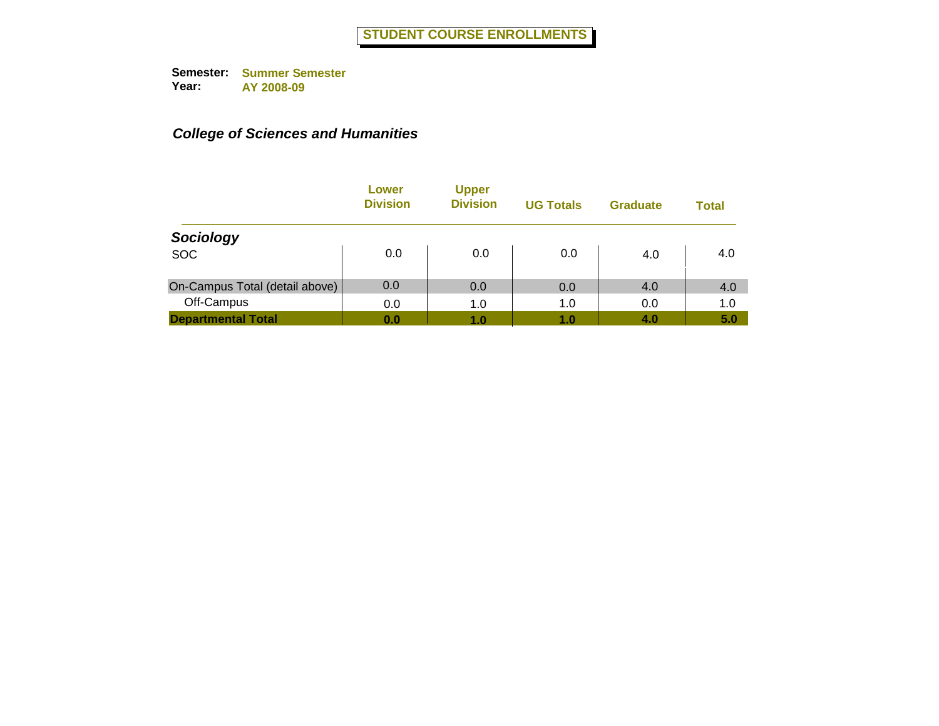|                                | Lower<br><b>Division</b> | <b>Upper</b><br><b>Division</b> | <b>UG Totals</b> | <b>Graduate</b> | <b>Total</b> |
|--------------------------------|--------------------------|---------------------------------|------------------|-----------------|--------------|
| Sociology                      |                          |                                 |                  |                 |              |
| <b>SOC</b>                     | 0.0                      | 0.0                             | 0.0              | 4.0             | 4.0          |
| On-Campus Total (detail above) | 0.0                      | 0.0                             | 0.0              | 4.0             | 4.0          |
| Off-Campus                     | 0.0                      | 1.0                             | 1.0              | 0.0             | 1.0          |
| <b>Departmental Total</b>      | 0.0                      | 1.0                             | 1.0              | 4.0             | 5.0          |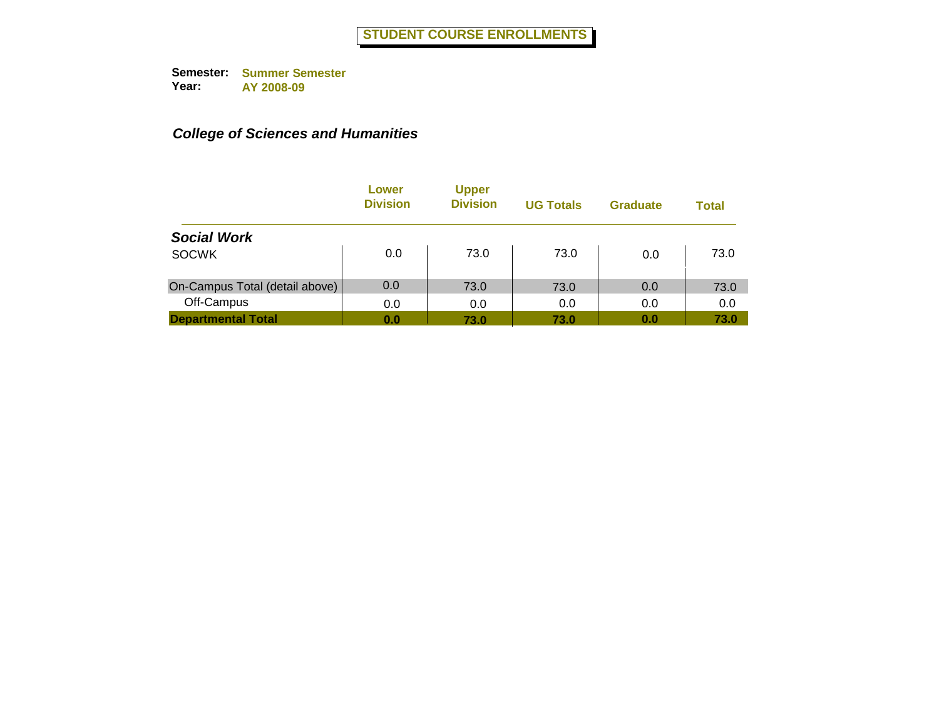|                                | Lower<br><b>Division</b> | <b>Upper</b><br><b>Division</b> | <b>UG Totals</b> | <b>Graduate</b> | <b>Total</b> |
|--------------------------------|--------------------------|---------------------------------|------------------|-----------------|--------------|
| <b>Social Work</b>             |                          |                                 |                  |                 |              |
| <b>SOCWK</b>                   | 0.0                      | 73.0                            | 73.0             | 0.0             | 73.0         |
| On-Campus Total (detail above) | 0.0                      | 73.0                            | 73.0             | 0.0             | 73.0         |
| Off-Campus                     | 0.0                      | 0.0                             | 0.0              | 0.0             | 0.0          |
| <b>Departmental Total</b>      | 0.0                      | 73.0                            | 73.0             | 0.0             | 73.0         |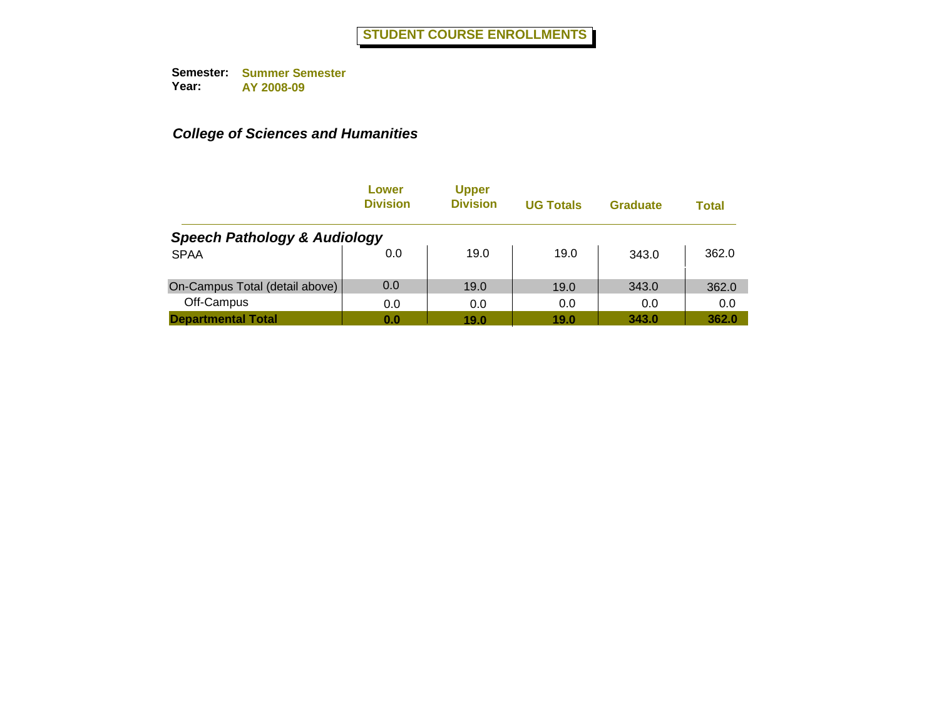|                                         | Lower<br><b>Division</b> | <b>Upper</b><br><b>Division</b> | <b>UG Totals</b> | <b>Graduate</b> | <b>Total</b> |
|-----------------------------------------|--------------------------|---------------------------------|------------------|-----------------|--------------|
| <b>Speech Pathology &amp; Audiology</b> |                          |                                 |                  |                 |              |
| <b>SPAA</b>                             | 0.0                      | 19.0                            | 19.0             | 343.0           | 362.0        |
| On-Campus Total (detail above)          | 0.0                      | 19.0                            | 19.0             | 343.0           | 362.0        |
| Off-Campus                              | 0.0                      | 0.0                             | 0.0              | 0.0             | 0.0          |
| <b>Departmental Total</b>               | 0.0                      | 19.0                            | 19.0             | 343.0           | 362.0        |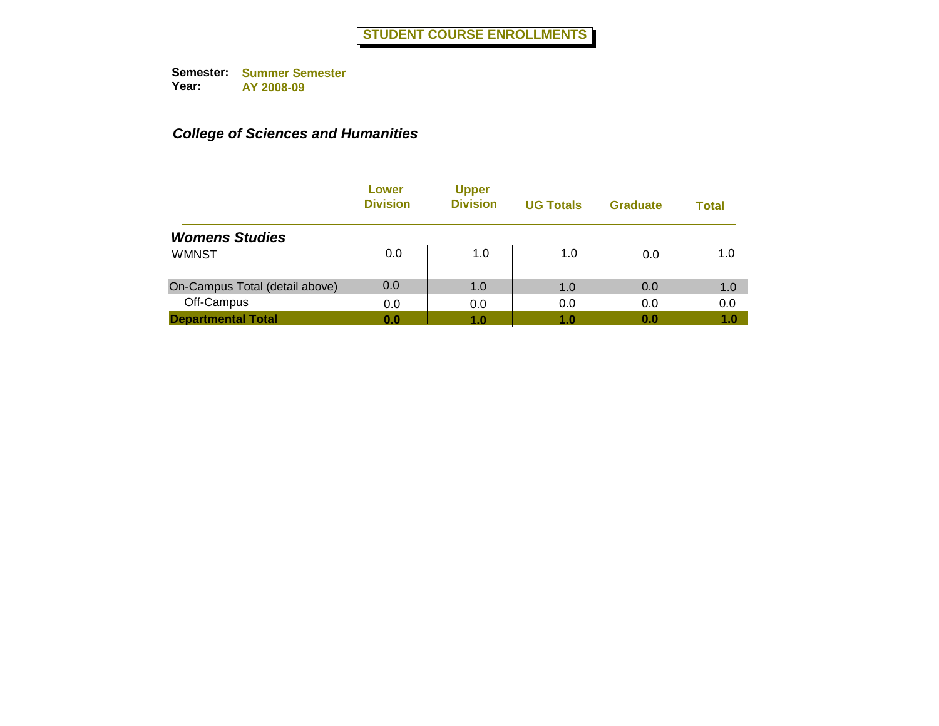|                                | Lower<br><b>Division</b> | <b>Upper</b><br><b>Division</b> | <b>UG Totals</b> | <b>Graduate</b> | <b>Total</b> |
|--------------------------------|--------------------------|---------------------------------|------------------|-----------------|--------------|
| <b>Womens Studies</b>          |                          |                                 |                  |                 |              |
| <b>WMNST</b>                   | 0.0                      | 1.0                             | 1.0              | 0.0             | 1.0          |
| On-Campus Total (detail above) | 0.0                      | 1.0                             | 1.0              | 0.0             | 1.0          |
| Off-Campus                     | 0.0                      | 0.0                             | 0.0              | 0.0             | 0.0          |
| <b>Departmental Total</b>      | 0.0                      | 1.0                             | 1.0              | 0.0             | 1.0          |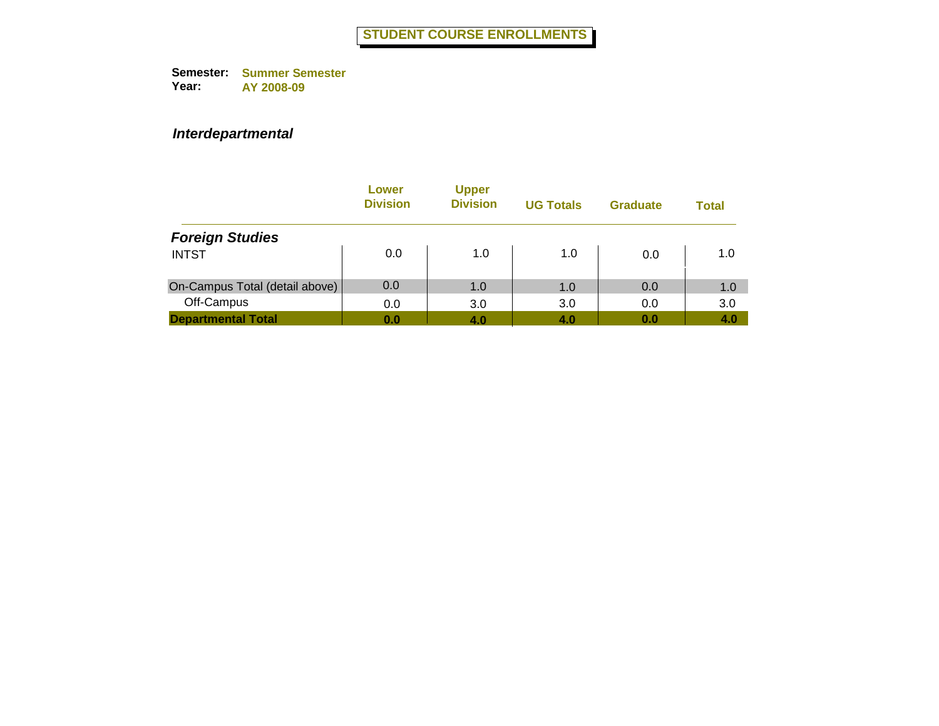### *Interdepartmental*

|                                | Lower<br><b>Division</b> | <b>Upper</b><br><b>Division</b> | <b>UG Totals</b> | <b>Graduate</b> | Total |
|--------------------------------|--------------------------|---------------------------------|------------------|-----------------|-------|
| <b>Foreign Studies</b>         |                          |                                 |                  |                 |       |
| <b>INTST</b>                   | 0.0                      | 1.0                             | 1.0              | 0.0             | 1.0   |
| On-Campus Total (detail above) | 0.0                      | 1.0                             | 1.0              | 0.0             | 1.0   |
| Off-Campus                     | 0.0                      | 3.0                             | 3.0              | 0.0             | 3.0   |
| <b>Departmental Total</b>      | 0.0                      | 4.0                             | 4.0              | 0.0             | 4.0   |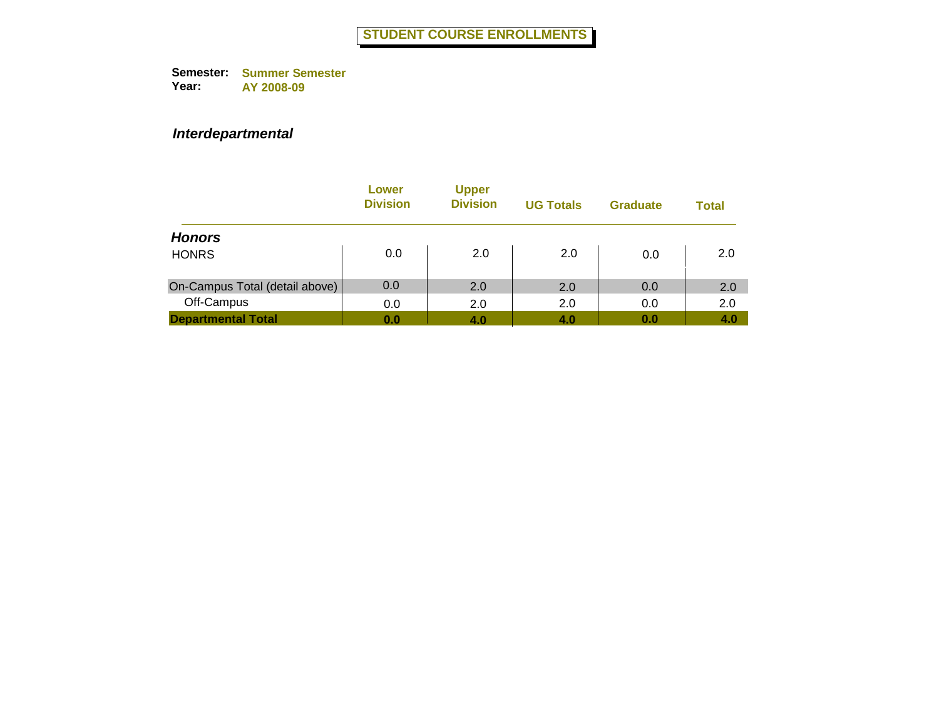### *Interdepartmental*

|                                | Lower<br><b>Division</b> | <b>Upper</b><br><b>Division</b> | <b>UG Totals</b> | <b>Graduate</b> | <b>Total</b> |
|--------------------------------|--------------------------|---------------------------------|------------------|-----------------|--------------|
| <b>Honors</b>                  |                          |                                 |                  |                 |              |
| <b>HONRS</b>                   | 0.0                      | 2.0                             | 2.0              | 0.0             | 2.0          |
| On-Campus Total (detail above) | 0.0                      | 2.0                             | 2.0              | 0.0             | 2.0          |
| Off-Campus                     | 0.0                      | 2.0                             | 2.0              | 0.0             | 2.0          |
| <b>Departmental Total</b>      | 0.0                      | 4.0                             | 4.0              | 0.0             | 4.0          |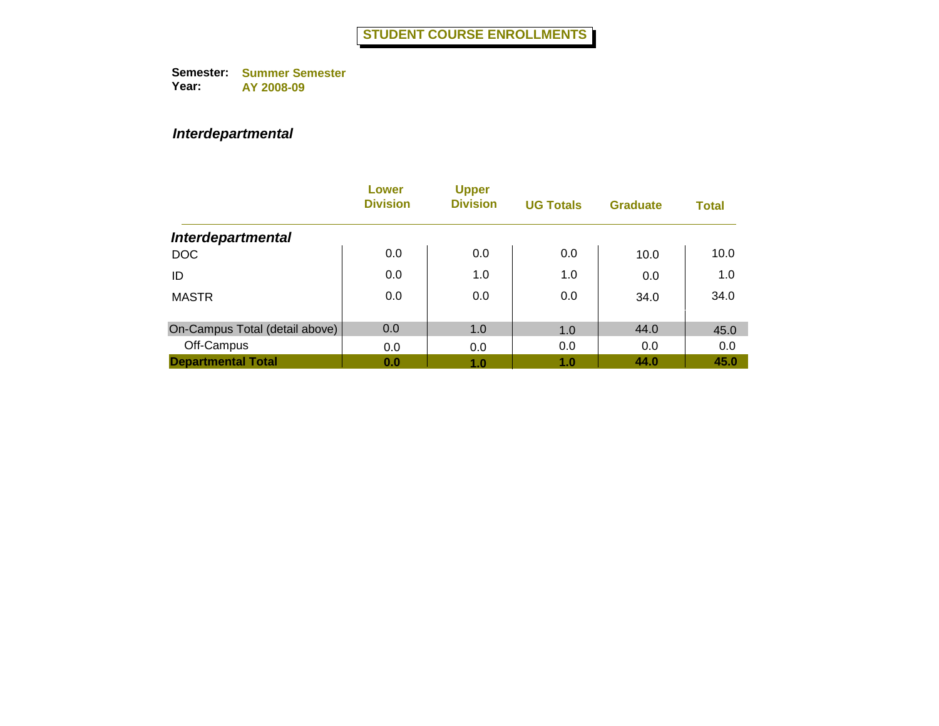### *Interdepartmental*

|                                | Lower<br><b>Division</b> | <b>Upper</b><br><b>Division</b> | <b>UG Totals</b> | <b>Graduate</b> | <b>Total</b> |
|--------------------------------|--------------------------|---------------------------------|------------------|-----------------|--------------|
| <b>Interdepartmental</b>       |                          |                                 |                  |                 |              |
| <b>DOC</b>                     | 0.0                      | 0.0                             | 0.0              | 10.0            | 10.0         |
| ID                             | 0.0                      | 1.0                             | 1.0              | 0.0             | 1.0          |
| <b>MASTR</b>                   | 0.0                      | 0.0                             | 0.0              | 34.0            | 34.0         |
| On-Campus Total (detail above) | 0.0                      | 1.0                             | 1.0              | 44.0            | 45.0         |
| Off-Campus                     | 0.0                      | 0.0                             | 0.0              | 0.0             | 0.0          |
| <b>Departmental Total</b>      | 0.0                      | 1.0                             | 1.0              | 44.0            | 45.0         |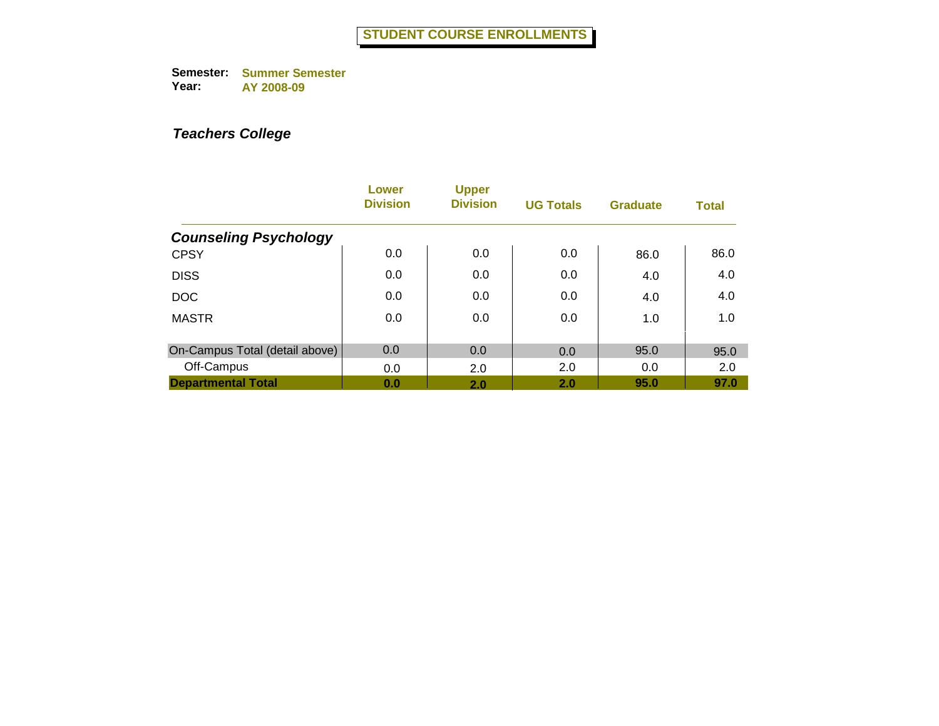|                                | Lower<br><b>Division</b> | <b>Upper</b><br><b>Division</b> | <b>UG Totals</b> | <b>Graduate</b> | <b>Total</b> |
|--------------------------------|--------------------------|---------------------------------|------------------|-----------------|--------------|
| <b>Counseling Psychology</b>   |                          |                                 |                  |                 |              |
| <b>CPSY</b>                    | 0.0                      | 0.0                             | 0.0              | 86.0            | 86.0         |
| <b>DISS</b>                    | 0.0                      | 0.0                             | 0.0              | 4.0             | 4.0          |
| <b>DOC</b>                     | 0.0                      | 0.0                             | 0.0              | 4.0             | 4.0          |
| <b>MASTR</b>                   | 0.0                      | 0.0                             | 0.0              | 1.0             | 1.0          |
|                                |                          |                                 |                  |                 |              |
| On-Campus Total (detail above) | 0.0                      | 0.0                             | 0.0              | 95.0            | 95.0         |
| Off-Campus                     | 0.0                      | 2.0                             | 2.0              | 0.0             | 2.0          |
| <b>Departmental Total</b>      | 0.0                      | 2.0                             | 2.0              | 95.0            | 97.0         |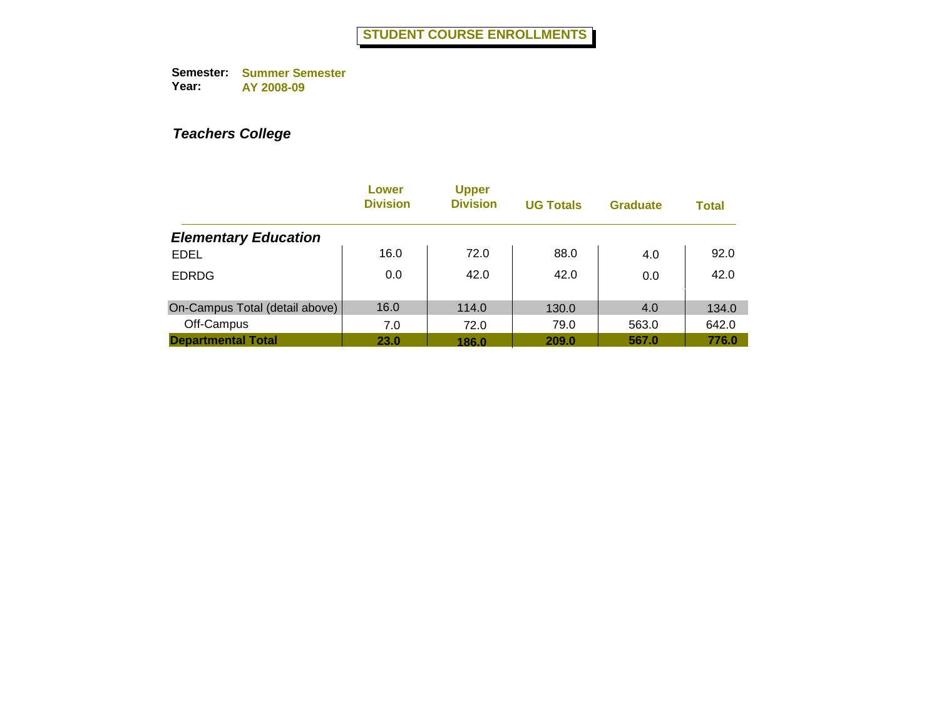|                                | Lower<br><b>Division</b> | <b>Upper</b><br><b>Division</b> | <b>UG Totals</b> | <b>Graduate</b> | <b>Total</b> |
|--------------------------------|--------------------------|---------------------------------|------------------|-----------------|--------------|
| <b>Elementary Education</b>    |                          |                                 |                  |                 |              |
| <b>EDEL</b>                    | 16.0                     | 72.0                            | 88.0             | 4.0             | 92.0         |
| <b>EDRDG</b>                   | 0.0                      | 42.0                            | 42.0             | 0.0             | 42.0         |
| On-Campus Total (detail above) | 16.0                     | 114.0                           | 130.0            | 4.0             | 134.0        |
| Off-Campus                     | 7.0                      | 72.0                            | 79.0             | 563.0           | 642.0        |
| <b>Departmental Total</b>      | <b>23.0</b>              | 186.0                           | 209.0            | 567.0           | 776.0        |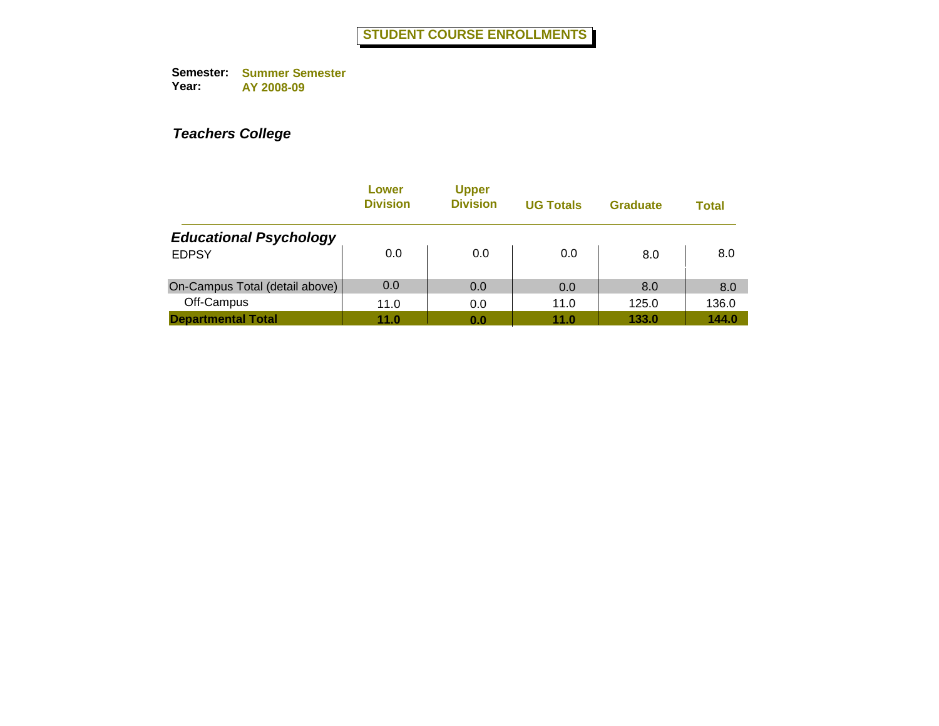|                                | Lower<br><b>Division</b> | <b>Upper</b><br><b>Division</b> | <b>UG Totals</b> | <b>Graduate</b> | <b>Total</b> |
|--------------------------------|--------------------------|---------------------------------|------------------|-----------------|--------------|
| <b>Educational Psychology</b>  |                          |                                 |                  |                 |              |
| <b>EDPSY</b>                   | 0.0                      | 0.0                             | 0.0              | 8.0             | 8.0          |
| On-Campus Total (detail above) | 0.0                      | 0.0                             | 0.0              | 8.0             | 8.0          |
| Off-Campus                     | 11.0                     | 0.0                             | 11.0             | 125.0           | 136.0        |
| <b>Departmental Total</b>      | 11.0                     | 0.0                             | 11.0             | 133.0           | 144.0        |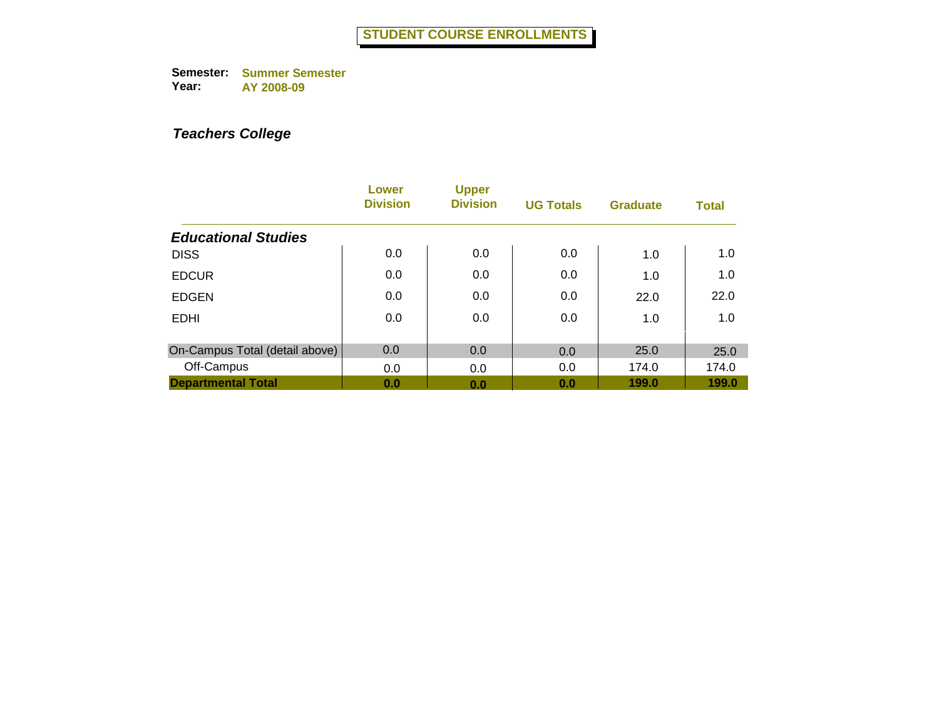|                                | Lower<br><b>Division</b> | <b>Upper</b><br><b>Division</b> | <b>UG Totals</b> | <b>Graduate</b> | <b>Total</b> |
|--------------------------------|--------------------------|---------------------------------|------------------|-----------------|--------------|
| <b>Educational Studies</b>     |                          |                                 |                  |                 |              |
| <b>DISS</b>                    | 0.0                      | 0.0                             | 0.0              | 1.0             | 1.0          |
| <b>EDCUR</b>                   | 0.0                      | 0.0                             | 0.0              | 1.0             | 1.0          |
| <b>EDGEN</b>                   | 0.0                      | 0.0                             | 0.0              | 22.0            | 22.0         |
| <b>EDHI</b>                    | 0.0                      | 0.0                             | 0.0              | 1.0             | 1.0          |
|                                |                          |                                 |                  |                 |              |
| On-Campus Total (detail above) | 0.0                      | 0.0                             | 0.0              | 25.0            | 25.0         |
| Off-Campus                     | 0.0                      | 0.0                             | 0.0              | 174.0           | 174.0        |
| <b>Departmental Total</b>      | 0.0                      | 0.0                             | 0.0              | 199.0           | 199.0        |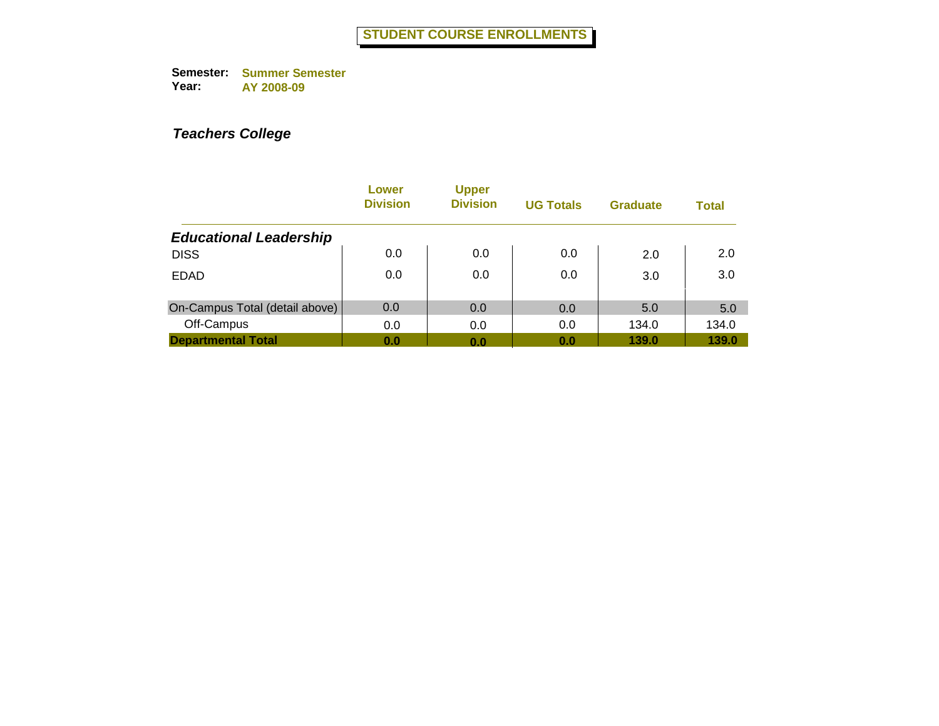|                                | Lower<br><b>Division</b> | <b>Upper</b><br><b>Division</b> | <b>UG Totals</b> | <b>Graduate</b> | <b>Total</b> |
|--------------------------------|--------------------------|---------------------------------|------------------|-----------------|--------------|
| <b>Educational Leadership</b>  |                          |                                 |                  |                 |              |
| <b>DISS</b>                    | 0.0                      | 0.0                             | 0.0              | 2.0             | 2.0          |
| <b>EDAD</b>                    | 0.0                      | 0.0                             | 0.0              | 3.0             | 3.0          |
| On-Campus Total (detail above) | 0.0                      | 0.0                             | 0.0              | 5.0             | 5.0          |
| Off-Campus                     | 0.0                      | 0.0                             | 0.0              | 134.0           | 134.0        |
| <b>Departmental Total</b>      | 0.0                      | 0.0                             | 0.0              | 139.0           | 139.0        |